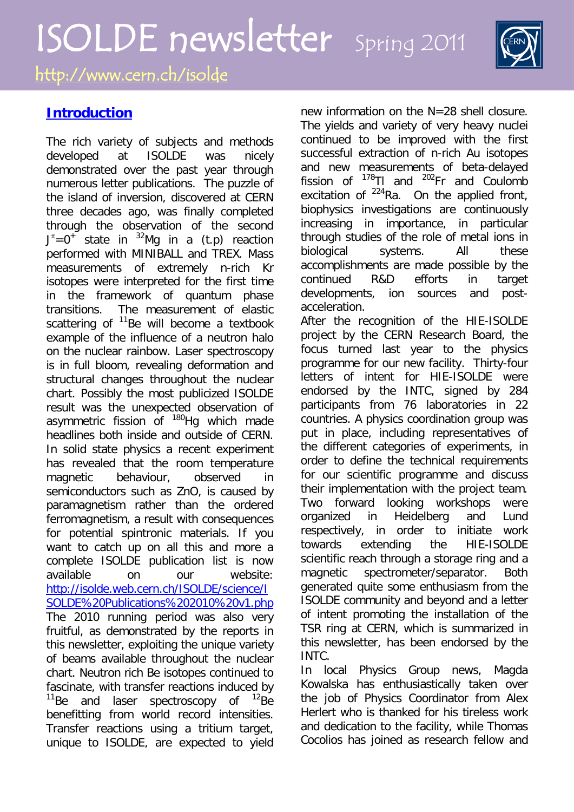# ISOLDE newsletter Spring 2011 <http://www.cern.ch/isolde>

# **Introduction**

The rich variety of subjects and methods developed at ISOLDE was nicely demonstrated over the past year through numerous letter publications. The puzzle of the island of inversion, discovered at CERN three decades ago, was finally completed through the observation of the second  $J^{\pi}$ =0<sup>+</sup> state in <sup>32</sup>Mg in a (t.p) reaction performed with MINIBALL and TREX. Mass measurements of extremely n-rich Kr isotopes were interpreted for the first time in the framework of quantum phase transitions. The measurement of elastic scattering of  $11$ Be will become a textbook example of the influence of a neutron halo on the nuclear rainbow. Laser spectroscopy is in full bloom, revealing deformation and structural changes throughout the nuclear chart. Possibly the most publicized ISOLDE result was the unexpected observation of asymmetric fission of  $180$ Hg which made headlines both inside and outside of CERN. In solid state physics a recent experiment has revealed that the room temperature magnetic behaviour, observed in semiconductors such as ZnO, is caused by paramagnetism rather than the ordered ferromagnetism, a result with consequences for potential spintronic materials. If you want to catch up on all this and more a complete ISOLDE publication list is now available on our website: [http://isolde.web.cern.ch/ISOLDE/science/I](http://isolde.web.cern.ch/ISOLDE/science/ISOLDE%20Publications%202010%20v1.php) [SOLDE%20Publications%202010%20v1.php](http://isolde.web.cern.ch/ISOLDE/science/ISOLDE%20Publications%202010%20v1.php) The 2010 running period was also very fruitful, as demonstrated by the reports in this newsletter, exploiting the unique variety of beams available throughout the nuclear chart. Neutron rich Be isotopes continued to fascinate, with transfer reactions induced by  $11$ Be and laser spectroscopy of  $12$ Be benefitting from world record intensities. Transfer reactions using a tritium target, unique to ISOLDE, are expected to yield

new information on the N=28 shell closure. The yields and variety of very heavy nuclei continued to be improved with the first successful extraction of n-rich Au isotopes and new measurements of beta-delayed fission of 178Tl and 202Fr and Coulomb excitation of  $^{224}$ Ra. On the applied front, biophysics investigations are continuously increasing in importance, in particular through studies of the role of metal ions in biological systems. All these accomplishments are made possible by the continued R&D efforts in target developments, ion sources and postacceleration.

After the recognition of the HIE-ISOLDE project by the CERN Research Board, the focus turned last year to the physics programme for our new facility. Thirty-four letters of intent for HIE-ISOLDE were endorsed by the INTC, signed by 284 participants from 76 laboratories in 22 countries. A physics coordination group was put in place, including representatives of the different categories of experiments, in order to define the technical requirements for our scientific programme and discuss their implementation with the project team. Two forward looking workshops were organized in Heidelberg and Lund respectively, in order to initiate work towards extending the HIE-ISOLDE scientific reach through a storage ring and a magnetic spectrometer/separator. Both generated quite some enthusiasm from the ISOLDE community and beyond and a letter of intent promoting the installation of the TSR ring at CERN, which is summarized in this newsletter, has been endorsed by the INTC.

In local Physics Group news, Magda Kowalska has enthusiastically taken over the job of Physics Coordinator from Alex Herlert who is thanked for his tireless work and dedication to the facility, while Thomas Cocolios has joined as research fellow and

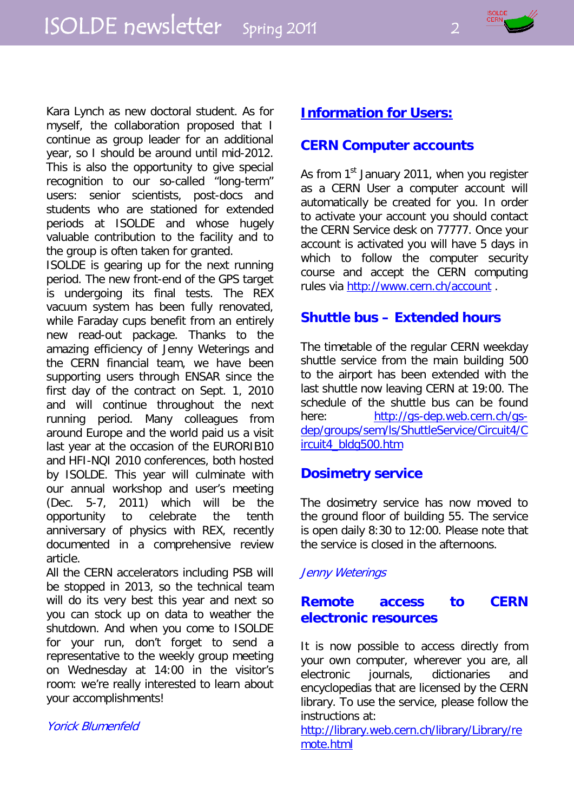

Kara Lynch as new doctoral student. As for myself, the collaboration proposed that I continue as group leader for an additional year, so I should be around until mid-2012. This is also the opportunity to give special recognition to our so-called "long-term" users: senior scientists, post-docs and students who are stationed for extended periods at ISOLDE and whose hugely valuable contribution to the facility and to the group is often taken for granted.

ISOLDE is gearing up for the next running period. The new front-end of the GPS target is undergoing its final tests. The REX vacuum system has been fully renovated, while Faraday cups benefit from an entirely new read-out package. Thanks to the amazing efficiency of Jenny Weterings and the CERN financial team, we have been supporting users through ENSAR since the first day of the contract on Sept. 1, 2010 and will continue throughout the next running period. Many colleagues from around Europe and the world paid us a visit last year at the occasion of the EURORIB10 and HFI-NQI 2010 conferences, both hosted by ISOLDE. This year will culminate with our annual workshop and user's meeting (Dec. 5-7, 2011) which will be the opportunity to celebrate the tenth anniversary of physics with REX, recently documented in a comprehensive review article.

All the CERN accelerators including PSB will be stopped in 2013, so the technical team will do its very best this year and next so you can stock up on data to weather the shutdown. And when you come to ISOLDE for your run, don't forget to send a representative to the weekly group meeting on Wednesday at 14:00 in the visitor's room: we're really interested to learn about your accomplishments!

#### Yorick Blumenfeld

# **Information for Users:**

# **CERN Computer accounts**

As from 1<sup>st</sup> January 2011, when you register as a CERN User a computer account will automatically be created for you. In order to activate your account you should contact the CERN Service desk on 77777. Once your account is activated you will have 5 days in which to follow the computer security course and accept the CERN computing rules via [http://www.cern.ch/account](http://gs-dep.web.cern.ch/gs-dep/groups/sem/ls/ShuttleService/Circuit4/Circuit4_bldg500.htm) .

# **Shuttle bus – Extended hours**

The timetable of the regular CERN weekday shuttle service from the main building 500 to the airport has been extended with the last shuttle now leaving CERN at 19:00. The schedule of the shuttle bus can be found here: [http://gs-dep.web.cern.ch/gs](http://gs-dep.web.cern.ch/gs-dep/groups/sem/ls/ShuttleService/Circuit4/Circuit4_bldg500.htm)[dep/groups/sem/ls/ShuttleService/Circuit4/C](http://gs-dep.web.cern.ch/gs-dep/groups/sem/ls/ShuttleService/Circuit4/Circuit4_bldg500.htm) [ircuit4\\_bldg500.htm](http://gs-dep.web.cern.ch/gs-dep/groups/sem/ls/ShuttleService/Circuit4/Circuit4_bldg500.htm)

# **Dosimetry service**

The dosimetry service has now moved to the ground floor of building 55. The service is open daily 8:30 to 12:00. Please note that the service is closed in the afternoons.

#### Jenny Weterings

# **Remote access to CERN electronic resources**

It is now possible to access directly from your own computer, wherever you are, all electronic journals, dictionaries and encyclopedias that are licensed by the CERN library. To use the service, please follow the instructions at:

[http://library.web.cern.ch/library/Library/re](http://library.web.cern.ch/library/Library/remote.html) [mote.html](http://library.web.cern.ch/library/Library/remote.html)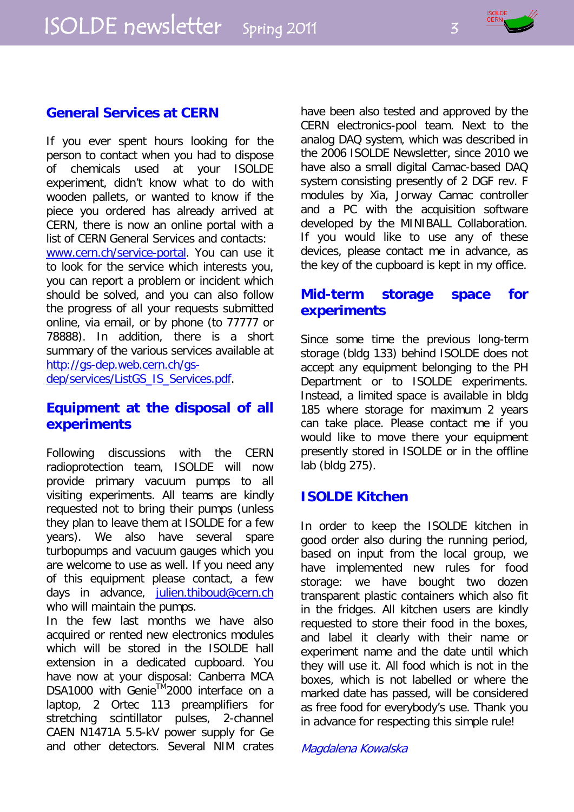# **General Services at CERN**

If you ever spent hours looking for the person to contact when you had to dispose of chemicals used at your ISOLDE experiment, didn't know what to do with wooden pallets, or wanted to know if the piece you ordered has already arrived at CERN, there is now an online portal with a list of CERN General Services and contacts: [www.cern.ch/service-portal.](http://www.cern.ch/service-portal) You can use it to look for the service which interests you, you can report a problem or incident which should be solved, and you can also follow the progress of all your requests submitted online, via email, or by phone (to 77777 or 78888). In addition, there is a short summary of the various services available at [http://gs-dep.web.cern.ch/gs](http://gs-dep.web.cern.ch/gs-dep/services/ListGS_IS_Services.pdf)[dep/services/ListGS\\_IS\\_Services.pdf.](http://gs-dep.web.cern.ch/gs-dep/services/ListGS_IS_Services.pdf)

# **Equipment at the disposal of all experiments**

Following discussions with the CERN radioprotection team, ISOLDE will now provide primary vacuum pumps to all visiting experiments. All teams are kindly requested not to bring their pumps (unless they plan to leave them at ISOLDE for a few years). We also have several spare turbopumps and vacuum gauges which you are welcome to use as well. If you need any of this equipment please contact, a few days in advance, [julien.thiboud@cern.ch](mailto:julien.thiboud@cern.ch) who will maintain the pumps.

In the few last months we have also acquired or rented new electronics modules which will be stored in the ISOLDE hall extension in a dedicated cupboard. You have now at your disposal: Canberra MCA DSA1000 with Genie™2000 interface on a laptop, 2 Ortec 113 preamplifiers for stretching scintillator pulses, 2-channel CAEN N1471A 5.5-kV power supply for Ge and other detectors. Several NIM crates have been also tested and approved by the CERN electronics-pool team. Next to the analog DAQ system, which was described in the 2006 ISOLDE Newsletter, since 2010 we have also a small digital Camac-based DAQ system consisting presently of 2 DGF rev. F modules by Xia, Jorway Camac controller and a PC with the acquisition software developed by the MINIBALL Collaboration. If you would like to use any of these devices, please contact me in advance, as the key of the cupboard is kept in my office.

# **Mid-term storage space for experiments**

Since some time the previous long-term storage (bldg 133) behind ISOLDE does not accept any equipment belonging to the PH Department or to ISOLDE experiments. Instead, a limited space is available in bldg 185 where storage for maximum 2 years can take place. Please contact me if you would like to move there your equipment presently stored in ISOLDE or in the offline lab (bldg 275).

# **ISOLDE Kitchen**

In order to keep the ISOLDE kitchen in good order also during the running period, based on input from the local group, we have implemented new rules for food storage: we have bought two dozen transparent plastic containers which also fit in the fridges. All kitchen users are kindly requested to store their food in the boxes, and label it clearly with their name or experiment name and the date until which they will use it. All food which is not in the boxes, which is not labelled or where the marked date has passed, will be considered as free food for everybody's use. Thank you in advance for respecting this simple rule!

Magdalena Kowalska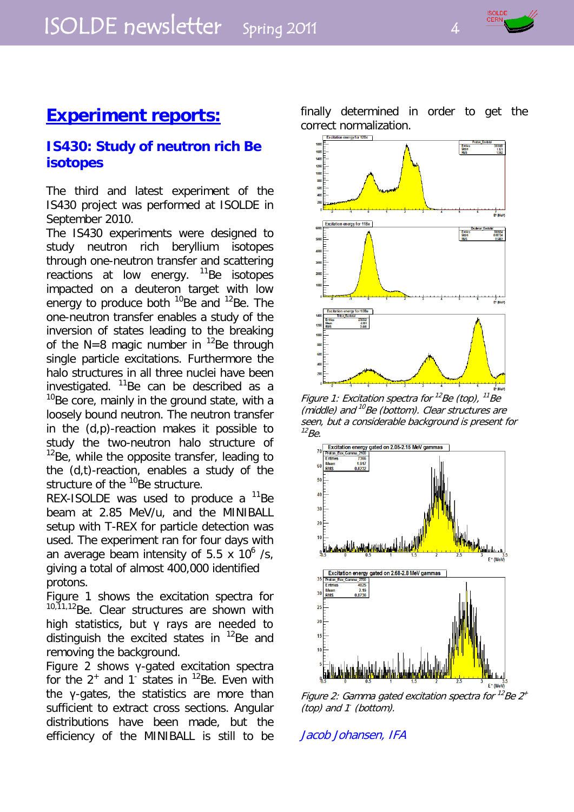

# **IS430: Study of neutron rich Be isotopes**

The third and latest experiment of the IS430 project was performed at ISOLDE in September 2010.

The IS430 experiments were designed to study neutron rich beryllium isotopes through one-neutron transfer and scattering reactions at low energy.  $11Be$  isotopes impacted on a deuteron target with low energy to produce both  $^{10}$ Be and  $^{12}$ Be. The one-neutron transfer enables a study of the inversion of states leading to the breaking of the  $N=8$  magic number in <sup>12</sup>Be through single particle excitations. Furthermore the halo structures in all three nuclei have been investigated.  $11$ Be can be described as a  $10B$ Be core, mainly in the ground state, with a loosely bound neutron. The neutron transfer in the (d,p)-reaction makes it possible to study the two-neutron halo structure of  $12$ Be, while the opposite transfer, leading to the (d,t)-reaction, enables a study of the structure of the <sup>10</sup>Be structure.

REX-ISOLDE was used to produce a  $^{11}$ Be beam at 2.85 MeV/u, and the MINIBALL setup with T-REX for particle detection was used. The experiment ran for four days with an average beam intensity of  $5.5 \times 10^6$  /s, giving a total of almost 400,000 identified protons.

Figure 1 shows the excitation spectra for 10,11,12Be. Clear structures are shown with high statistics, but γ rays are needed to distinguish the excited states in  $^{12}$ Be and removing the background.

Figure 2 shows γ-gated excitation spectra for the  $2^+$  and 1 states in  $^{12}$ Be. Even with the γ-gates, the statistics are more than sufficient to extract cross sections. Angular distributions have been made, but the efficiency of the MINIBALL is still to be finally determined in order to get the correct normalization.



Figure 1: Excitation spectra for <sup>12</sup>Be (top), <sup>11</sup>Be (middle) and  $^{10}$ Be (bottom). Clear structures are seen, but a considerable background is present for  $^{12}Be$ .



Figure 2: Gamma gated excitation spectra for  $^{12}$ Be 2<sup>+</sup>  $(top)$  and 1 (bottom).

Jacob Johansen, IFA

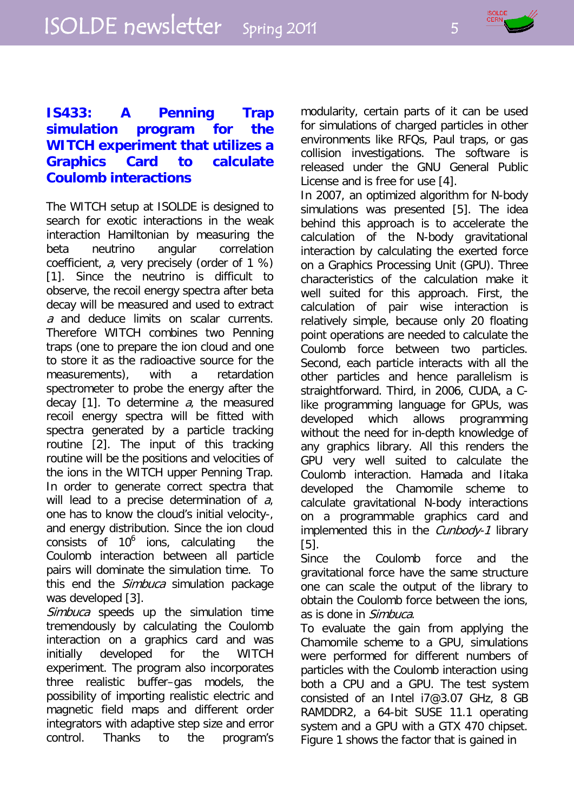

# **IS433: A Penning Trap simulation program for the WITCH experiment that utilizes a Graphics Card to calculate Coulomb interactions**

The WITCH setup at ISOLDE is designed to search for exotic interactions in the weak interaction Hamiltonian by measuring the beta neutrino angular correlation coefficient, a, very precisely (order of 1 %) [1]. Since the neutrino is difficult to observe, the recoil energy spectra after beta decay will be measured and used to extract a and deduce limits on scalar currents. Therefore WITCH combines two Penning traps (one to prepare the ion cloud and one to store it as the radioactive source for the measurements), with a retardation spectrometer to probe the energy after the decay [1]. To determine  $a_i$ , the measured recoil energy spectra will be fitted with spectra generated by a particle tracking routine [2]. The input of this tracking routine will be the positions and velocities of the ions in the WITCH upper Penning Trap. In order to generate correct spectra that will lead to a precise determination of  $a_i$ one has to know the cloud's initial velocity-, and energy distribution. Since the ion cloud consists of  $10<sup>6</sup>$  ions, calculating the Coulomb interaction between all particle pairs will dominate the simulation time. To this end the *Simbuca* simulation package was developed [3].

Simbuca speeds up the simulation time tremendously by calculating the Coulomb interaction on a graphics card and was initially developed for the WITCH experiment. The program also incorporates three realistic buffer–gas models, the possibility of importing realistic electric and magnetic field maps and different order integrators with adaptive step size and error control. Thanks to the program's modularity, certain parts of it can be used for simulations of charged particles in other environments like RFQs, Paul traps, or gas collision investigations. The software is released under the GNU General Public License and is free for use [4].

In 2007, an optimized algorithm for N-body simulations was presented [5]. The idea behind this approach is to accelerate the calculation of the N-body gravitational interaction by calculating the exerted force on a Graphics Processing Unit (GPU). Three characteristics of the calculation make it well suited for this approach. First, the calculation of pair wise interaction is relatively simple, because only 20 floating point operations are needed to calculate the Coulomb force between two particles. Second, each particle interacts with all the other particles and hence parallelism is straightforward. Third, in 2006, CUDA, a Clike programming language for GPUs, was developed which allows programming without the need for in-depth knowledge of any graphics library. All this renders the GPU very well suited to calculate the Coulomb interaction. Hamada and Iitaka developed the Chamomile scheme to calculate gravitational N-body interactions on a programmable graphics card and implemented this in the *Cunbody-1* library [5].

Since the Coulomb force and the gravitational force have the same structure one can scale the output of the library to obtain the Coulomb force between the ions, as is done in Simbuca.

To evaluate the gain from applying the Chamomile scheme to a GPU, simulations were performed for different numbers of particles with the Coulomb interaction using both a CPU and a GPU. The test system consisted of an Intel i7@3.07 GHz, 8 GB RAMDDR2, a 64-bit SUSE 11.1 operating system and a GPU with a GTX 470 chipset. Figure 1 shows the factor that is gained in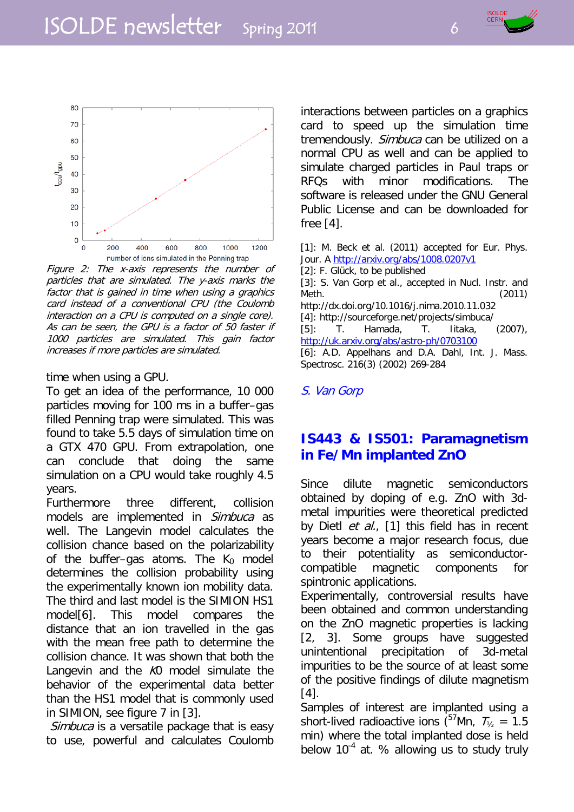



Figure 2: The x-axis represents the number of particles that are simulated. The y-axis marks the factor that is gained in time when using a graphics card instead of a conventional CPU (the Coulomb interaction on a CPU is computed on a single core). As can be seen, the GPU is a factor of 50 faster if 1000 particles are simulated. This gain factor increases if more particles are simulated.

time when using a GPU.

To get an idea of the performance, 10 000 particles moving for 100 ms in a buffer–gas filled Penning trap were simulated. This was found to take 5.5 days of simulation time on a GTX 470 GPU. From extrapolation, one can conclude that doing the same simulation on a CPU would take roughly 4.5 years.

Furthermore three different, collision models are implemented in Simbuca as well. The Langevin model calculates the collision chance based on the polarizability of the buffer–gas atoms. The  $K_0$  model determines the collision probability using the experimentally known ion mobility data. The third and last model is the SIMION HS1 model[6]. This model compares the distance that an ion travelled in the gas with the mean free path to determine the collision chance. It was shown that both the Langevin and the K<sub>0</sub> model simulate the behavior of the experimental data better than the HS1 model that is commonly used in SIMION, see figure 7 in [3].

Simbuca is a versatile package that is easy to use, powerful and calculates Coulomb interactions between particles on a graphics card to speed up the simulation time tremendously. Simbuca can be utilized on a normal CPU as well and can be applied to simulate charged particles in Paul traps or RFQs with minor modifications. The software is released under the GNU General Public License and can be downloaded for free [4].

[1]: M. Beck et al. (2011) accepted for Eur. Phys. Jour. A<http://arxiv.org/abs/1008.0207v1> [2]: F. Glück, to be published [3]: S. Van Gorp et al., accepted in Nucl. Instr. and Meth. (2011) http://dx.doi.org/10.1016/j.nima.2010.11.032

[4]: http://sourceforge.net/projects/simbuca/ [5]: T. Hamada, T. Iitaka, (2007), <http://uk.arxiv.org/abs/astro-ph/0703100>

[6]: A.D. Appelhans and D.A. Dahl, Int. J. Mass. Spectrosc. 216(3) (2002) 269-284

S. Van Gorp

# **IS443 & IS501: Paramagnetism in Fe/Mn implanted ZnO**

Since dilute magnetic semiconductors obtained by doping of e.g. ZnO with 3dmetal impurities were theoretical predicted by Dietl et al., [1] this field has in recent years become a major research focus, due to their potentiality as semiconductorcompatible magnetic components for spintronic applications.

Experimentally, controversial results have been obtained and common understanding on the ZnO magnetic properties is lacking [2, 3]. Some groups have suggested unintentional precipitation of 3d-metal impurities to be the source of at least some of the positive findings of dilute magnetism [4].

Samples of interest are implanted using a short-lived radioactive ions ( $57$ Mn,  $T_{\frac{1}{2}}$  = 1.5 min) where the total implanted dose is held below  $10^{-4}$  at. % allowing us to study truly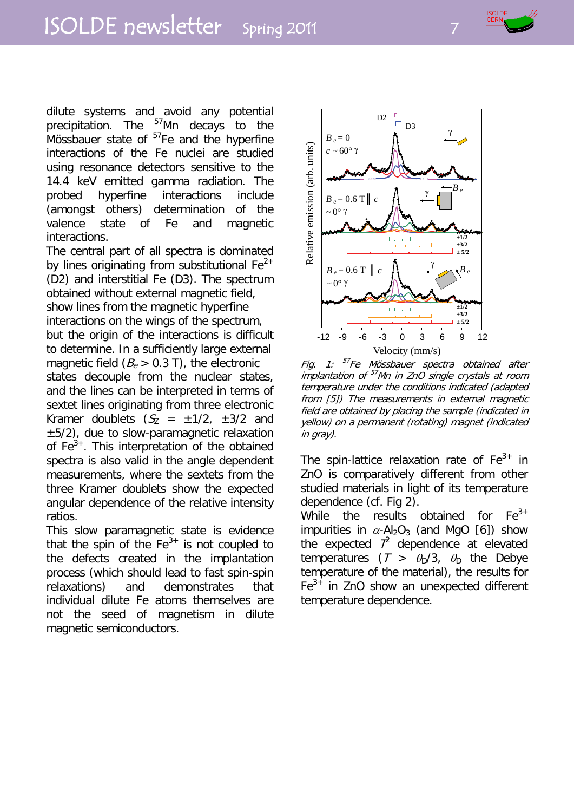

dilute systems and avoid any potential precipitation. The <sup>57</sup>Mn decays to the Mössbauer state of  $57$ Fe and the hyperfine interactions of the Fe nuclei are studied using resonance detectors sensitive to the 14.4 keV emitted gamma radiation. The probed hyperfine interactions include (amongst others) determination of the valence state of Fe and magnetic interactions.

The central part of all spectra is dominated by lines originating from substitutional  $Fe^{2+}$ (D2) and interstitial Fe (D3). The spectrum obtained without external magnetic field, show lines from the magnetic hyperfine interactions on the wings of the spectrum, but the origin of the interactions is difficult to determine. In a sufficiently large external magnetic field  $(B_e > 0.3 \text{ T})$ , the electronic states decouple from the nuclear states, and the lines can be interpreted in terms of sextet lines originating from three electronic Kramer doublets  $(S_7 = \pm 1/2, \pm 3/2)$  and  $±5/2$ ), due to slow-paramagnetic relaxation of  $Fe<sup>3+</sup>$ . This interpretation of the obtained spectra is also valid in the angle dependent measurements, where the sextets from the three Kramer doublets show the expected angular dependence of the relative intensity ratios.

This slow paramagnetic state is evidence that the spin of the  $Fe<sup>3+</sup>$  is not coupled to the defects created in the implantation process (which should lead to fast spin-spin relaxations) and demonstrates that individual dilute Fe atoms themselves are not the seed of magnetism in dilute magnetic semiconductors.



Fig. 1: <sup>57</sup>Fe Mössbauer spectra obtained after implantation of 57Mn in ZnO single crystals at room temperature under the conditions indicated (adapted from [5]) The measurements in external magnetic field are obtained by placing the sample (indicated in yellow) on a permanent (rotating) magnet (indicated in gray).

The spin-lattice relaxation rate of  $Fe<sup>3+</sup>$  in ZnO is comparatively different from other studied materials in light of its temperature dependence (cf. Fig 2).

While the results obtained for  $Fe<sup>3+</sup>$ impurities in  $\alpha$ -Al<sub>2</sub>O<sub>3</sub> (and MgO [6]) show the expected  $7^2$  dependence at elevated temperatures  $(T > \theta_0/3, \theta_0)$  the Debye temperature of the material), the results for  $Fe<sup>3+</sup>$  in ZnO show an unexpected different temperature dependence.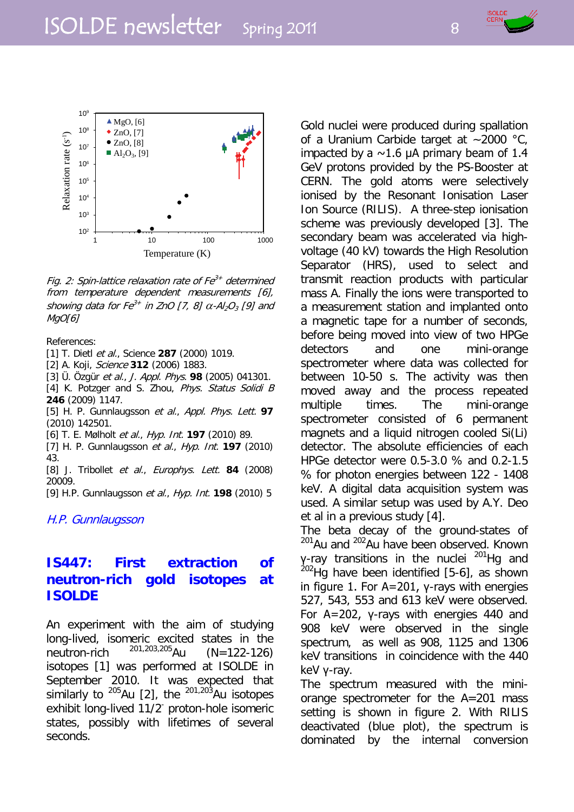

Fig. 2: Spin-lattice relaxation rate of  $Fe<sup>3+</sup>$  determined from temperature dependent measurements [6], showing data for  $Fe^{3+}$  in ZnO [7, 8]  $\alpha$ -Al<sub>2</sub>O<sub>3</sub> [9] and MgO[6]

#### References:

[1] T. Dietl et al., Science **287** (2000) 1019.

[2] A. Koji, Science **312** (2006) 1883.

[3] Ü. Özgür et al., J. Appl. Phys. **98** (2005) 041301.

[4] K. Potzger and S. Zhou, Phys. Status Solidi B **246** (2009) 1147.

[5] H. P. Gunnlaugsson et al., Appl. Phys. Lett. **97** (2010) 142501.

[6] T. E. Mølholt et al., Hyp. Int. **197** (2010) 89.

[7] H. P. Gunnlaugsson et al., Hyp. Int. **197** (2010) 43.

[8] J. Tribollet et al., Europhys. Lett. **84** (2008) 20009.

[9] H.P. Gunnlaugsson et al., Hyp. Int. **198** (2010) 5

H.P. Gunnlaugsson

## **IS447: First extraction of neutron-rich gold isotopes at ISOLDE**

An experiment with the aim of studying long-lived, isomeric excited states in the<br>neutron-rich  $^{201,203,205}$ Au (N=122-126) neutron-rich  $^{201,203,205}$ Au (N=122-126) isotopes [1] was performed at ISOLDE in September 2010. It was expected that similarly to <sup>205</sup>Au [2], the <sup>201,203</sup>Au isotopes exhibit long-lived 11/2- proton-hole isomeric states, possibly with lifetimes of several seconds.

Gold nuclei were produced during spallation of a Uranium Carbide target at ~2000 °C, impacted by a  $\sim$ 1.6 μA primary beam of 1.4 GeV protons provided by the PS-Booster at CERN. The gold atoms were selectively ionised by the Resonant Ionisation Laser Ion Source (RILIS). A three-step ionisation scheme was previously developed [3]. The secondary beam was accelerated via highvoltage (40 kV) towards the High Resolution Separator (HRS), used to select and transmit reaction products with particular mass A. Finally the ions were transported to a measurement station and implanted onto a magnetic tape for a number of seconds, before being moved into view of two HPGe detectors and one mini-orange spectrometer where data was collected for between 10-50 s. The activity was then moved away and the process repeated multiple times. The mini-orange spectrometer consisted of 6 permanent magnets and a liquid nitrogen cooled Si(Li) detector. The absolute efficiencies of each HPGe detector were 0.5-3.0 % and 0.2-1.5 % for photon energies between 122 - 1408 keV. A digital data acquisition system was used. A similar setup was used by A.Y. Deo et al in a previous study [4].

The beta decay of the ground-states of <sup>201</sup>Au and <sup>202</sup>Au have been observed. Known γ-ray transitions in the nuclei <sup>201</sup>Hg and  $^{202}$ Hg have been identified [5-6], as shown in figure 1. For A=201, γ-rays with energies 527, 543, 553 and 613 keV were observed. For A=202, γ-rays with energies 440 and 908 keV were observed in the single spectrum, as well as 908, 1125 and 1306 keV transitions in coincidence with the 440 keV γ-ray.

The spectrum measured with the miniorange spectrometer for the A=201 mass setting is shown in figure 2. With RILIS deactivated (blue plot), the spectrum is dominated by the internal conversion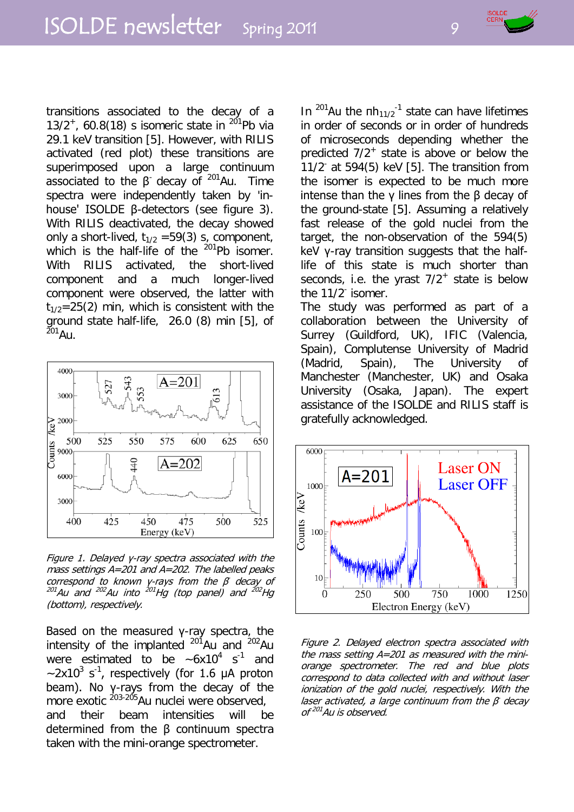transitions associated to the decay of a 13/2<sup>+</sup>, 60.8(18) s isomeric state in  $^{201}$ Pb via 29.1 keV transition [5]. However, with RILIS activated (red plot) these transitions are superimposed upon a large continuum associated to the β decay of  $^{201}$ Au. Time spectra were independently taken by 'inhouse' ISOLDE β-detectors (see figure 3). With RILIS deactivated, the decay showed only a short-lived,  $t_{1/2}$  =59(3) s, component, which is the half-life of the  $^{201}$ Pb isomer. With RILIS activated, the short-lived component and a much longer-lived component were observed, the latter with  $t_{1/2}=25(2)$  min, which is consistent with the ground state half-life, 26.0 (8) min [5], of  $^{201}$ Au.



Figure 1. Delayed γ-ray spectra associated with the mass settings A=201 and A=202. The labelled peaks correspond to known y-rays from the  $\beta$  decay of  $^{201}$ Au and  $^{202}$ Au into  $^{201}$ Hg (top panel) and  $^{202}$ Hg (bottom), respectively.

Based on the measured γ-ray spectra, the intensity of the implanted  $201$ Au and  $202$ Au were estimated to be  $\sim 6x10^4$  s<sup>-1</sup> and  $\sim$ 2x10<sup>3</sup> s<sup>-1</sup>, respectively (for 1.6  $\mu$ A proton beam). No γ-rays from the decay of the more exotic <sup>203-205</sup> Au nuclei were observed, and their beam intensities will be determined from the β continuum spectra taken with the mini-orange spectrometer.

In <sup>201</sup>Au the πh<sub>11/2</sub><sup>-1</sup> state can have lifetimes in order of seconds or in order of hundreds of microseconds depending whether the predicted  $7/2^+$  state is above or below the 11/2- at 594(5) keV [5]. The transition from the isomer is expected to be much more intense than the γ lines from the β decay of the ground-state [5]. Assuming a relatively fast release of the gold nuclei from the target, the non-observation of the 594(5) keV γ-ray transition suggests that the halflife of this state is much shorter than seconds, i.e. the yrast  $7/2^+$  state is below the 11/2<sup>-</sup> isomer.

The study was performed as part of a collaboration between the University of Surrey (Guildford, UK), IFIC (Valencia, Spain), Complutense University of Madrid (Madrid, Spain), The University of Manchester (Manchester, UK) and Osaka University (Osaka, Japan). The expert assistance of the ISOLDE and RILIS staff is gratefully acknowledged.



Figure 2. Delayed electron spectra associated with the mass setting  $A = 201$  as measured with the miniorange spectrometer. The red and blue plots correspond to data collected with and without laser ionization of the gold nuclei, respectively. With the laser activated, a large continuum from the  $\beta$  decay of 201Au is observed.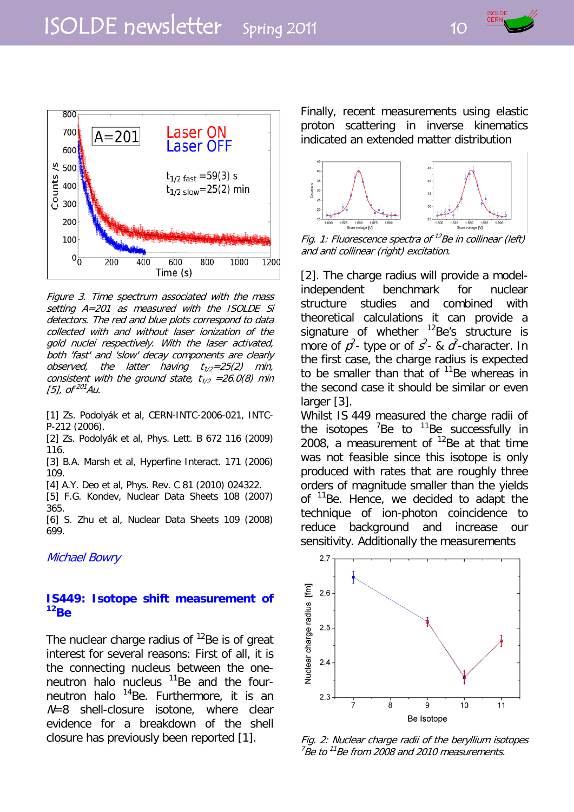



Figure 3. Time spectrum associated with the mass setting A=201 as measured with the ISOLDE Si detectors. The red and blue plots correspond to data collected with and without laser ionization of the gold nuclei respectively. With the laser activated, both 'fast' and 'slow' decay components are clearly observed, the latter having  $t_{1/2}=25(2)$  min, consistent with the ground state,  $t_{1/2} = 26.0(8)$  min [5], of  $201$  Au.

[1] Zs. Podolyák et al, CERN-INTC-2006-021, INTC-P-212 (2006).

[2] Zs. Podolyák et al, Phys. Lett. B 672 116 (2009) 116.

[3] B.A. Marsh et al, Hyperfine Interact. 171 (2006) 109.

[4] A.Y. Deo et al, Phys. Rev. C 81 (2010) 024322.

[5] F.G. Kondev, Nuclear Data Sheets 108 (2007) 365.

[6] S. Zhu et al, Nuclear Data Sheets 109 (2008) 699.

Michael Bowry

#### **IS449: Isotope shift measurement of 12Be**

The nuclear charge radius of  $^{12}$ Be is of great interest for several reasons: First of all, it is the connecting nucleus between the oneneutron halo nucleus  $11$ Be and the fourneutron halo <sup>14</sup>Be. Furthermore, it is an  $N=8$  shell-closure isotone, where clear evidence for a breakdown of the shell closure has previously been reported [1].

Finally, recent measurements using elastic proton scattering in inverse kinematics indicated an extended matter distribution



Fig. 1: Fluorescence spectra of <sup>12</sup>Be in collinear (left) and anti collinear (right) excitation.

[2]. The charge radius will provide a modelindependent benchmark for nuclear structure studies and combined with theoretical calculations it can provide a signature of whether  $^{12}$ Be's structure is more of  $p^2$ - type or of  $s^2$ - &  $a^2$ -character. In the first case, the charge radius is expected to be smaller than that of  $11$ Be whereas in the second case it should be similar or even larger [3].

Whilst IS 449 measured the charge radii of the isotopes  ${}^{7}$ Be to  ${}^{11}$ Be successfully in 2008, a measurement of  $^{12}$ Be at that time was not feasible since this isotope is only produced with rates that are roughly three orders of magnitude smaller than the yields of <sup>11</sup>Be. Hence, we decided to adapt the technique of ion-photon coincidence to reduce background and increase our sensitivity. Additionally the measurements



Fig. 2: Nuclear charge radii of the beryllium isotopes  $7B$ e to  $11B$ e from 2008 and 2010 measurements.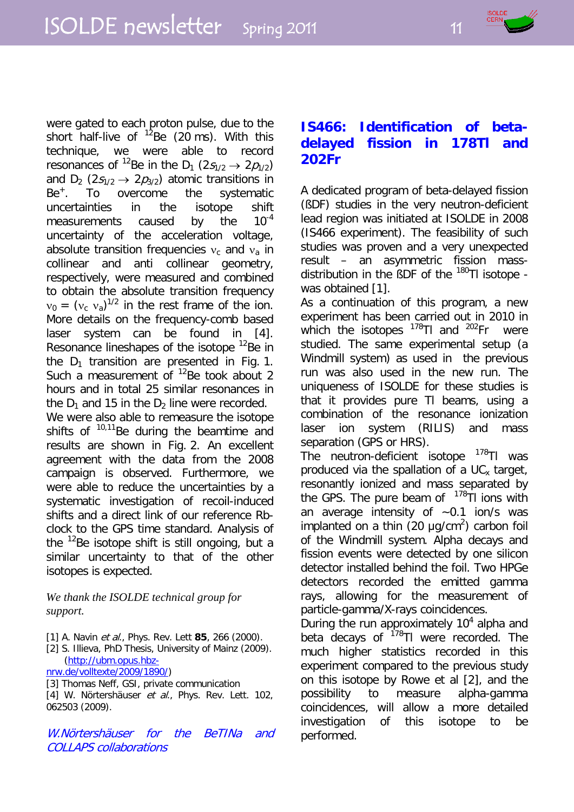were gated to each proton pulse, due to the short half-live of  $12$ Be (20 ms). With this technique, we were able to record resonances of <sup>12</sup>Be in the D<sub>1</sub> (2s<sub>1/2</sub>  $\rightarrow$  2p<sub>1/2</sub>) and  $D_2$  (2 $s_{1/2} \rightarrow 2p_{3/2}$ ) atomic transitions in Be<sup>+</sup>. To overcome the systematic uncertainties in the isotope shift measurements caused by the 10<sup>-4</sup> uncertainty of the acceleration voltage, absolute transition frequencies  $v_c$  and  $v_a$  in collinear and anti collinear geometry, respectively, were measured and combined to obtain the absolute transition frequency  $v_0 = (v_c \, v_a)^{1/2}$  in the rest frame of the ion. More details on the frequency-comb based laser system can be found in [4]. Resonance lineshapes of the isotope <sup>12</sup>Be in the  $D_1$  transition are presented in Fig. 1. Such a measurement of  $^{12}$ Be took about 2 hours and in total 25 similar resonances in the  $D_1$  and 15 in the  $D_2$  line were recorded. We were also able to remeasure the isotope shifts of  $10,11$  Be during the beamtime and results are shown in Fig. 2. An excellent agreement with the data from the 2008 campaign is observed. Furthermore, we were able to reduce the uncertainties by a systematic investigation of recoil-induced shifts and a direct link of our reference Rbclock to the GPS time standard. Analysis of the  $12$ Be isotope shift is still ongoing, but a similar uncertainty to that of the other isotopes is expected.

#### *We thank the ISOLDE technical group for support.*

- [1] A. Navin et al., Phys. Rev. Lett **85**, 266 (2000).
- [2] S. Illieva, PhD Thesis, University of Mainz (2009). [\(http://ubm.opus.hbz](http://ubm.opus.hbz-nrw.de/volltexte/2009/1890/)[nrw.de/volltexte/2009/1890/\)](http://ubm.opus.hbz-nrw.de/volltexte/2009/1890/)
- [3] Thomas Neff, GSI, private communication
- [4] W. Nörtershäuser et al., Phys. Rev. Lett. 102. 062503 (2009).

W.Nörtershäuser for the BeTINa and COLLAPS collaborations

# **IS466: Identification of betadelayed fission in 178Tl and 202Fr**

A dedicated program of beta-delayed fission (ßDF) studies in the very neutron-deficient lead region was initiated at ISOLDE in 2008 (IS466 experiment). The feasibility of such studies was proven and a very unexpected result – an asymmetric fission massdistribution in the BDF of the <sup>180</sup>TI isotope was obtained [1].

As a continuation of this program, a new experiment has been carried out in 2010 in which the isotopes  $^{178}$ Tl and  $^{202}$ Fr were studied. The same experimental setup (a Windmill system) as used in the previous run was also used in the new run. The uniqueness of ISOLDE for these studies is that it provides pure Tl beams, using a combination of the resonance ionization laser ion system (RILIS) and mass separation (GPS or HRS).

The neutron-deficient isotope <sup>178</sup>Tl was produced via the spallation of a  $UC_x$  target, resonantly ionized and mass separated by the GPS. The pure beam of  $178$ Tl ions with an average intensity of  $~1$  ion/s was implanted on a thin  $(20 \mu g/cm^2)$  carbon foil of the Windmill system. Alpha decays and fission events were detected by one silicon detector installed behind the foil. Two HPGe detectors recorded the emitted gamma rays, allowing for the measurement of particle-gamma/X-rays coincidences.

During the run approximately  $10<sup>4</sup>$  alpha and beta decays of  $178$ Tl were recorded. The much higher statistics recorded in this experiment compared to the previous study on this isotope by Rowe et al [2], and the possibility to measure alpha-gamma coincidences, will allow a more detailed investigation of this isotope to be performed.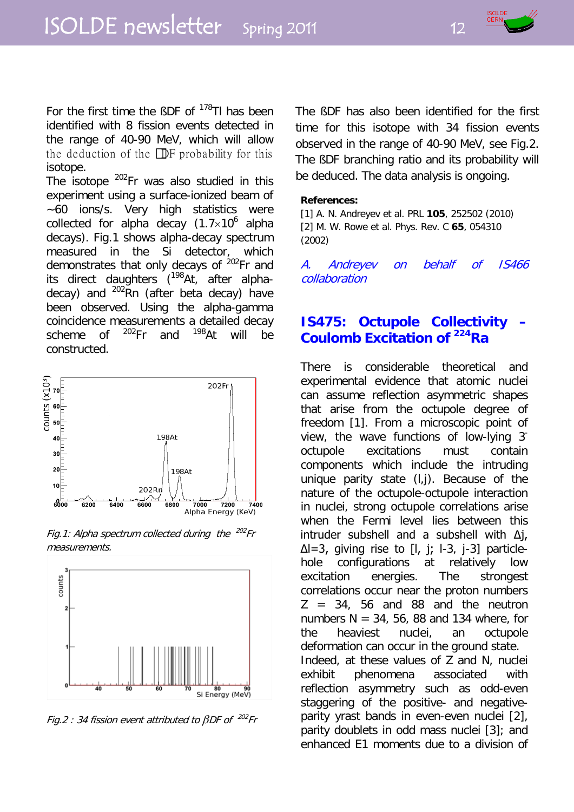

For the first time the BDF of  $178$ TI has been identified with 8 fission events detected in the range of 40-90 MeV, which will allow the deduction of the  $\Box$  probability for this isotope.

The isotope <sup>202</sup>Fr was also studied in this experiment using a surface-ionized beam of ~60 ions/s. Very high statistics were collected for alpha decay  $(1.7\times10^6)$  alpha decays). Fig.1 shows alpha-decay spectrum measured in the Si detector, which demonstrates that only decays of <sup>202</sup>Fr and its direct daughters  $(198)$ At, after alphadecay) and  $^{202}$ Rn (after beta decay) have been observed. Using the alpha-gamma coincidence measurements a detailed decay scheme of  $^{202}$ Fr and  $^{198}$ At will be constructed.



Fig.1: Alpha spectrum collected during the  $^{202}$ Fr measurements.



Fig.2 : 34 fission event attributed to  $\beta$ DF of  $^{202}$ Fr

The ßDF has also been identified for the first time for this isotope with 34 fission events observed in the range of 40-90 MeV, see Fig.2. The ßDF branching ratio and its probability will be deduced. The data analysis is ongoing.

#### **References:**

[1] A. N. Andreyev et al. PRL **105**, 252502 (2010) [2] M. W. Rowe et al. Phys. Rev. C **65**, 054310 (2002)

A. Andreyev on behalf of IS466 collaboration

#### **IS475: Octupole Collectivity – Coulomb Excitation of 224Ra**

There is considerable theoretical and experimental evidence that atomic nuclei can assume reflection asymmetric shapes that arise from the octupole degree of freedom [1]. From a microscopic point of view, the wave functions of low-lying 3 octupole excitations must contain components which include the intruding unique parity state (l,j). Because of the nature of the octupole-octupole interaction in nuclei, strong octupole correlations arise when the Fermi level lies between this intruder subshell and a subshell with ∆j, ∆l=3, giving rise to [l, j; l-3, j-3] particlehole configurations at relatively low excitation energies. The strongest correlations occur near the proton numbers  $Z = 34$ , 56 and 88 and the neutron numbers  $N = 34, 56, 88$  and 134 where, for the heaviest nuclei, an octupole deformation can occur in the ground state. Indeed, at these values of Z and N, nuclei exhibit phenomena associated with reflection asymmetry such as odd-even staggering of the positive- and negativeparity yrast bands in even-even nuclei [2], parity doublets in odd mass nuclei [3]; and enhanced E1 moments due to a division of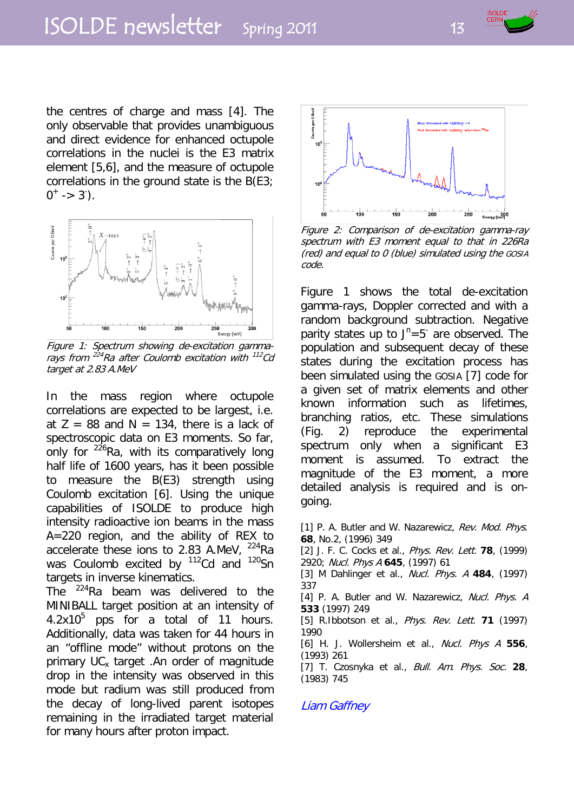

the centres of charge and mass [4]. The only observable that provides unambiguous and direct evidence for enhanced octupole correlations in the nuclei is the E3 matrix element [5,6], and the measure of octupole correlations in the ground state is the B(E3;  $0^+$  -> 3<sup>-</sup>).



Figure 1: Spectrum showing de-excitation gammarays from  $^{224}$ Ra after Coulomb excitation with  $^{112}$ Cd target at 2.83 A.MeV

In the mass region where octupole correlations are expected to be largest, i.e. at  $Z = 88$  and  $N = 134$ , there is a lack of spectroscopic data on E3 moments. So far, only for  $2^{26}$ Ra, with its comparatively long half life of 1600 years, has it been possible to measure the B(E3) strength using Coulomb excitation [6]. Using the unique capabilities of ISOLDE to produce high intensity radioactive ion beams in the mass A=220 region, and the ability of REX to accelerate these ions to 2.83 A.MeV, <sup>224</sup>Ra was Coulomb excited by <sup>112</sup>Cd and <sup>120</sup>Sn targets in inverse kinematics.

The  $^{224}$ Ra beam was delivered to the MINIBALL target position at an intensity of  $4.2x10<sup>5</sup>$  pps for a total of 11 hours. Additionally, data was taken for 44 hours in an "offline mode" without protons on the primary  $UC_x$  target . An order of magnitude drop in the intensity was observed in this mode but radium was still produced from the decay of long-lived parent isotopes remaining in the irradiated target material for many hours after proton impact.



Figure 2: Comparison of de-excitation gamma-ray spectrum with E3 moment equal to that in 226Ra (red) and equal to 0 (blue) simulated using the GOSIA code.

Figure 1 shows the total de-excitation gamma-rays, Doppler corrected and with a random background subtraction. Negative parity states up to  $J<sup>n</sup>=5$  are observed. The population and subsequent decay of these states during the excitation process has been simulated using the GOSIA [7] code for a given set of matrix elements and other known information such as lifetimes, branching ratios, etc. These simulations (Fig. 2) reproduce the experimental spectrum only when a significant E3 moment is assumed. To extract the magnitude of the E3 moment, a more detailed analysis is required and is ongoing.

[1] P. A. Butler and W. Nazarewicz, Rev. Mod. Phys. **68**, No.2, (1996) 349

[2] J. F. C. Cocks et al., Phys. Rev. Lett. **78**, (1999) 2920; Nucl. Phys A **645**, (1997) 61

[3] M Dahlinger et al., Nucl. Phys. A **484**, (1997) 337

[4] P. A. Butler and W. Nazarewicz, Nucl. Phys. A **533** (1997) 249

[5] R.Ibbotson et al., Phys. Rev. Lett. **71** (1997) 1990

[6] H. J. Wollersheim et al., Nucl. Phys A **556**, (1993) 261

[7] T. Czosnyka et al., Bull. Am. Phys. Soc. **28**, (1983) 745

#### Liam Gaffney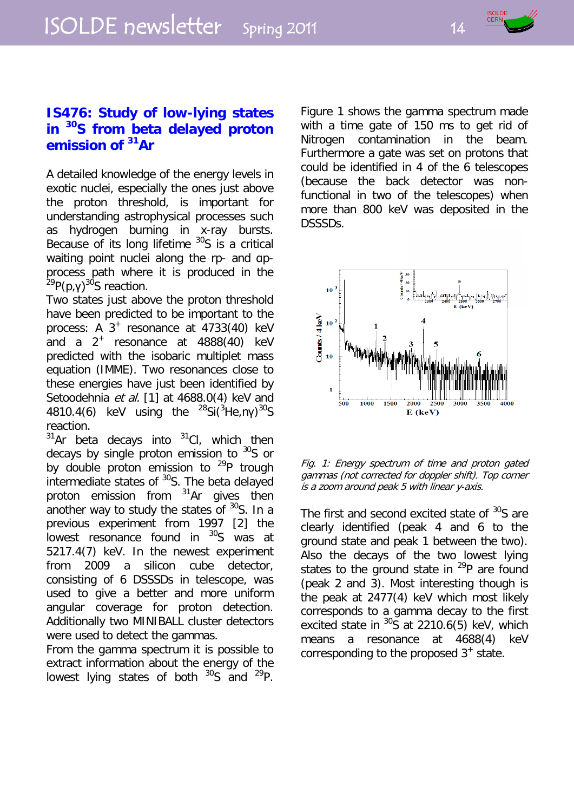# **IS476: Study of low-lying states in 30S from beta delayed proton emission of 31Ar**

A detailed knowledge of the energy levels in exotic nuclei, especially the ones just above the proton threshold, is important for understanding astrophysical processes such as hydrogen burning in x-ray bursts. Because of its long lifetime  $30S$  is a critical waiting point nuclei along the rp- and approcess path where it is produced in the <sup>29</sup>P(p,γ)<sup>30</sup>S reaction.

Two states just above the proton threshold have been predicted to be important to the process: A  $3^+$  resonance at 4733(40) keV and a  $2^+$  resonance at  $4888(40)$  keV predicted with the isobaric multiplet mass equation (IMME). Two resonances close to these energies have just been identified by Setoodehnia et al. [1] at 4688.0(4) keV and 4810.4(6) keV using the  $^{28}$ Si( $^{3}$ He,ny) $^{30}$ S reaction.

 $31$ Ar beta decays into  $31$ Cl, which then decays by single proton emission to  $30$ S or by double proton emission to  $^{29}P$  trough intermediate states of <sup>30</sup>S. The beta delayed proton emission from 31Ar gives then another way to study the states of  $30$ S. In a previous experiment from 1997 [2] the lowest resonance found in <sup>30</sup>S was at 5217.4(7) keV. In the newest experiment from 2009 a silicon cube detector, consisting of 6 DSSSDs in telescope, was used to give a better and more uniform angular coverage for proton detection. Additionally two MINIBALL cluster detectors were used to detect the gammas.

From the gamma spectrum it is possible to extract information about the energy of the lowest lying states of both  $30S$  and  $29P$ . Figure 1 shows the gamma spectrum made with a time gate of 150 ms to get rid of Nitrogen contamination in the beam. Furthermore a gate was set on protons that could be identified in 4 of the 6 telescopes (because the back detector was nonfunctional in two of the telescopes) when more than 800 keV was deposited in the DSSSDs.



Fig. 1: Energy spectrum of time and proton gated gammas (not corrected for doppler shift). Top corner is a zoom around peak 5 with linear y-axis.

The first and second excited state of <sup>30</sup>S are clearly identified (peak 4 and 6 to the ground state and peak 1 between the two). Also the decays of the two lowest lying states to the ground state in  $^{29}P$  are found (peak 2 and 3). Most interesting though is the peak at 2477(4) keV which most likely corresponds to a gamma decay to the first excited state in  $\frac{30}{5}$  at 2210.6(5) keV, which means a resonance at 4688(4) keV corresponding to the proposed  $3^+$  state.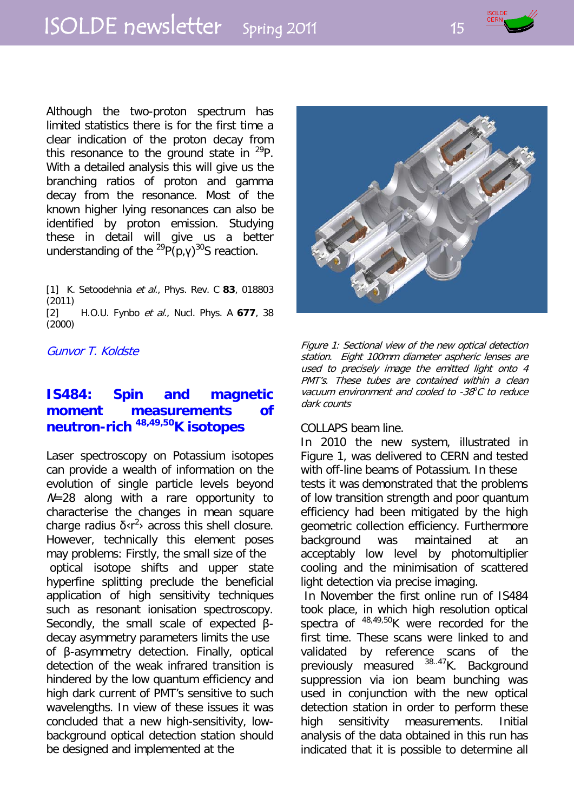# ISOLDE newsletter Spring 2011 15

Although the two-proton spectrum has limited statistics there is for the first time a clear indication of the proton decay from this resonance to the ground state in  $^{29}P$ . With a detailed analysis this will give us the branching ratios of proton and gamma decay from the resonance. Most of the known higher lying resonances can also be identified by proton emission. Studying these in detail will give us a better understanding of the  $^{29}P(p,y)^{30}S$  reaction.

[1] K. Setoodehnia et al., Phys. Rev. C **83**, 018803 (2011) [2] H.O.U. Fynbo et al., Nucl. Phys. A **677**, 38 (2000)

Gunvor T. Koldste

# **IS484: Spin and magnetic moment measurements of neutron-rich 48,49,50K isotopes**

Laser spectroscopy on Potassium isotopes can provide a wealth of information on the evolution of single particle levels beyond  $N=28$  along with a rare opportunity to characterise the changes in mean square charge radius  $\delta$  <r<sup>2</sup> across this shell closure. However, technically this element poses may problems: Firstly, the small size of the optical isotope shifts and upper state hyperfine splitting preclude the beneficial application of high sensitivity techniques such as resonant ionisation spectroscopy. Secondly, the small scale of expected βdecay asymmetry parameters limits the use of β-asymmetry detection. Finally, optical detection of the weak infrared transition is hindered by the low quantum efficiency and high dark current of PMT's sensitive to such wavelengths. In view of these issues it was concluded that a new high-sensitivity, lowbackground optical detection station should be designed and implemented at the



Figure 1: Sectional view of the new optical detection station. Eight 100mm diameter aspheric lenses are used to precisely image the emitted light onto 4 PMT's. These tubes are contained within a clean vacuum environment and cooled to  $-38^{\circ}$ C to reduce dark counts

#### COLLAPS beam line.

In 2010 the new system, illustrated in Figure 1, was delivered to CERN and tested with off-line beams of Potassium. In these tests it was demonstrated that the problems of low transition strength and poor quantum efficiency had been mitigated by the high geometric collection efficiency. Furthermore background was maintained at an acceptably low level by photomultiplier cooling and the minimisation of scattered light detection via precise imaging.

In November the first online run of IS484 took place, in which high resolution optical spectra of  $48,49,50$ K were recorded for the first time. These scans were linked to and validated by reference scans of the previously measured <sup>38.47</sup>K. Background suppression via ion beam bunching was used in conjunction with the new optical detection station in order to perform these high sensitivity measurements. Initial analysis of the data obtained in this run has indicated that it is possible to determine all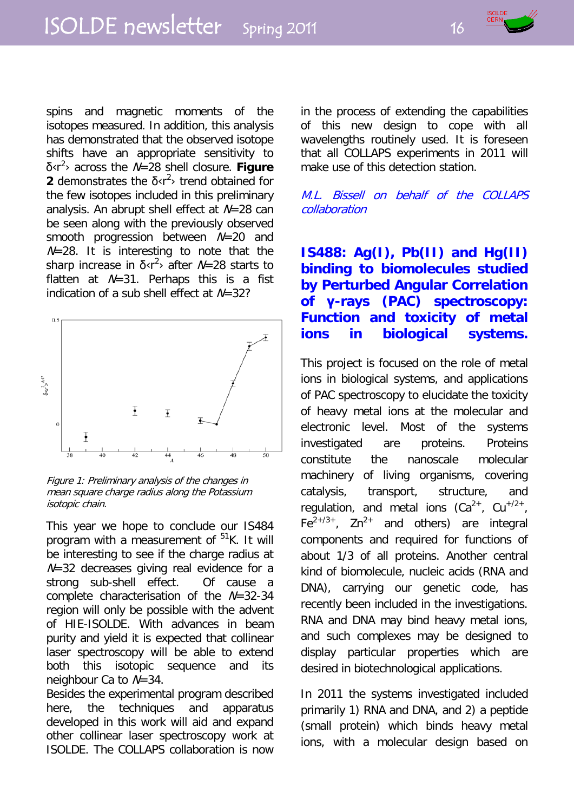

spins and magnetic moments of the isotopes measured. In addition, this analysis has demonstrated that the observed isotope shifts have an appropriate sensitivity to δ‹r<sup>2</sup> › across the N=28 shell closure. **Figure 2** demonstrates the  $\delta$ <sub>s</sub>r<sup>2</sup>> trend obtained for the few isotopes included in this preliminary analysis. An abrupt shell effect at  $N=28$  can be seen along with the previously observed smooth progression between  $N=20$  and  $N=28$ . It is interesting to note that the sharp increase in  $\delta$ <sub>s</sub> $r^2$  after  $N=28$  starts to flatten at  $N=31$ . Perhaps this is a fist indication of a sub shell effect at  $N=32$ ?



Figure 1: Preliminary analysis of the changes in mean square charge radius along the Potassium isotopic chain.

This year we hope to conclude our IS484 program with a measurement of  $51K$ . It will be interesting to see if the charge radius at  $N=32$  decreases giving real evidence for a strong sub-shell effect. Of cause a complete characterisation of the N=32-34 region will only be possible with the advent of HIE-ISOLDE. With advances in beam purity and yield it is expected that collinear laser spectroscopy will be able to extend both this isotopic sequence and its neighbour Ca to N=34.

Besides the experimental program described here, the techniques and apparatus developed in this work will aid and expand other collinear laser spectroscopy work at ISOLDE. The COLLAPS collaboration is now in the process of extending the capabilities of this new design to cope with all wavelengths routinely used. It is foreseen that all COLLAPS experiments in 2011 will make use of this detection station.

#### M.L. Bissell on behalf of the COLLAPS collaboration

# **IS488: Ag(I), Pb(II) and Hg(II) binding to biomolecules studied by Perturbed Angular Correlation of γ-rays (PAC) spectroscopy: Function and toxicity of metal ions in biological systems.**

This project is focused on the role of metal ions in biological systems, and applications of PAC spectroscopy to elucidate the toxicity of heavy metal ions at the molecular and electronic level. Most of the systems investigated are proteins. Proteins constitute the nanoscale molecular machinery of living organisms, covering catalysis, transport, structure, and regulation, and metal ions  $(Ca^{2+}$ ,  $Cu^{+/2+}$ ,  $Fe<sup>2+/3+</sup>$ , Zn<sup>2+</sup> and others) are integral components and required for functions of about 1/3 of all proteins. Another central kind of biomolecule, nucleic acids (RNA and DNA), carrying our genetic code, has recently been included in the investigations. RNA and DNA may bind heavy metal ions, and such complexes may be designed to display particular properties which are desired in biotechnological applications.

In 2011 the systems investigated included primarily 1) RNA and DNA, and 2) a peptide (small protein) which binds heavy metal ions, with a molecular design based on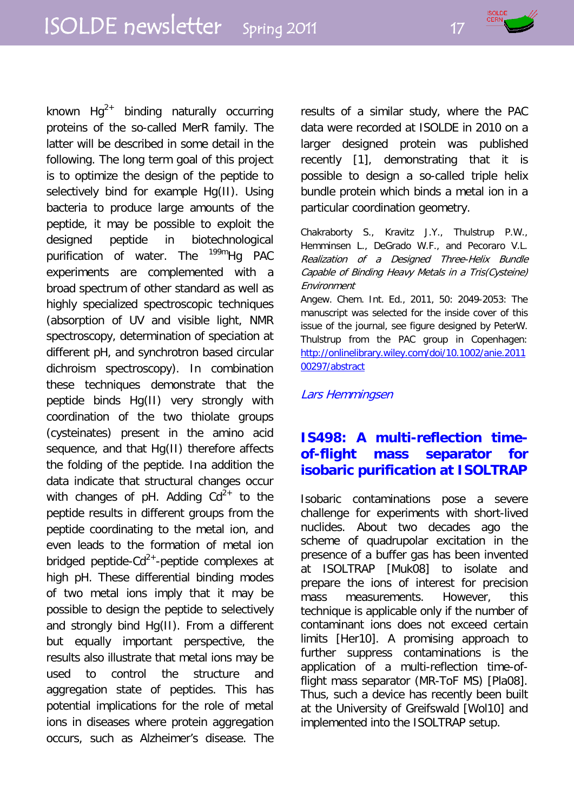

known  $Hq^{2+}$  binding naturally occurring proteins of the so-called MerR family. The latter will be described in some detail in the following. The long term goal of this project is to optimize the design of the peptide to selectively bind for example Hg(II). Using bacteria to produce large amounts of the peptide, it may be possible to exploit the designed peptide in biotechnological purification of water. The <sup>199m</sup>Hg PAC experiments are complemented with a broad spectrum of other standard as well as highly specialized spectroscopic techniques (absorption of UV and visible light, NMR spectroscopy, determination of speciation at different pH, and synchrotron based circular dichroism spectroscopy). In combination these techniques demonstrate that the peptide binds Hg(II) very strongly with coordination of the two thiolate groups (cysteinates) present in the amino acid sequence, and that Hg(II) therefore affects the folding of the peptide. Ina addition the data indicate that structural changes occur with changes of pH. Adding  $Cd^{2+}$  to the peptide results in different groups from the peptide coordinating to the metal ion, and even leads to the formation of metal ion bridged peptide- $Cd^{2+}$ -peptide complexes at high pH. These differential binding modes of two metal ions imply that it may be possible to design the peptide to selectively and strongly bind Hg(II). From a different but equally important perspective, the results also illustrate that metal ions may be used to control the structure and aggregation state of peptides. This has potential implications for the role of metal ions in diseases where protein aggregation occurs, such as Alzheimer's disease. The results of a similar study, where the PAC data were recorded at ISOLDE in 2010 on a larger designed protein was published recently [1], demonstrating that it is possible to design a so-called triple helix bundle protein which binds a metal ion in a particular coordination geometry.

Chakraborty S., Kravitz J.Y., Thulstrup P.W., Hemminsen L., DeGrado W.F., and Pecoraro V.L. Realization of a Designed Three-Helix Bundle Capable of Binding Heavy Metals in a Tris(Cysteine) Environment

Angew. Chem. Int. Ed., 2011, 50: 2049-2053: The manuscript was selected for the inside cover of this issue of the journal, see figure designed by PeterW. Thulstrup from the PAC group in Copenhagen: [http://onlinelibrary.wiley.com/doi/10.1002/anie.2011](http://onlinelibrary.wiley.com/doi/10.1002/anie.201100297/abstract) [00297/abstract](http://onlinelibrary.wiley.com/doi/10.1002/anie.201100297/abstract)

#### Lars Hemmingsen

# **IS498: A multi-reflection timeof-flight mass separator for isobaric purification at ISOLTRAP**

Isobaric contaminations pose a severe challenge for experiments with short-lived nuclides. About two decades ago the scheme of quadrupolar excitation in the presence of a buffer gas has been invented at ISOLTRAP [Muk08] to isolate and prepare the ions of interest for precision mass measurements. However, this technique is applicable only if the number of contaminant ions does not exceed certain limits [Her10]. A promising approach to further suppress contaminations is the application of a multi-reflection time-offlight mass separator (MR-ToF MS) [Pla08]. Thus, such a device has recently been built at the University of Greifswald [Wol10] and implemented into the ISOLTRAP setup.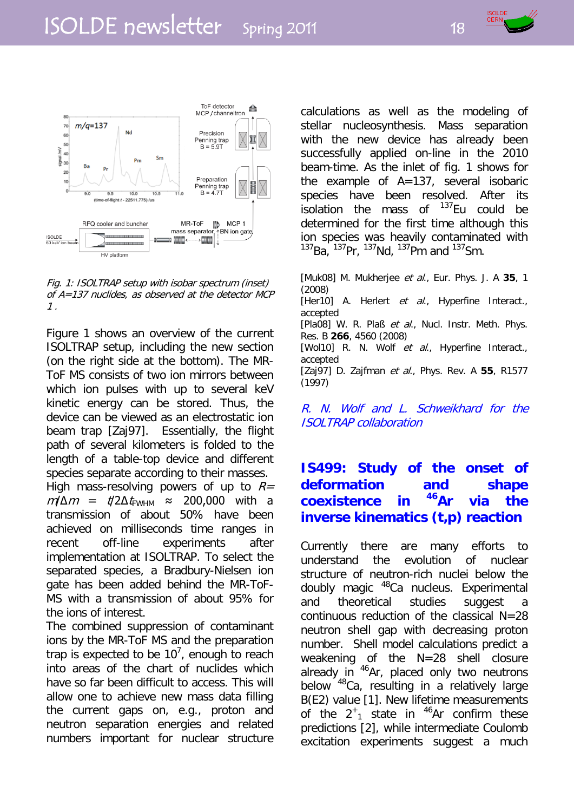

Fig. 1: ISOLTRAP setup with isobar spectrum (inset) of A=137 nuclides, as observed at the detector MCP 1 .

Figure 1 shows an overview of the current ISOLTRAP setup, including the new section (on the right side at the bottom). The MR-ToF MS consists of two ion mirrors between which ion pulses with up to several keV kinetic energy can be stored. Thus, the device can be viewed as an electrostatic ion beam trap [Zaj97]. Essentially, the flight path of several kilometers is folded to the length of a table-top device and different species separate according to their masses. High mass-resolving powers of up to  $R=$  $m/\Delta m = t/2\Delta t$ <sub>FWHM</sub>  $\approx$  200,000 with a transmission of about 50% have been achieved on milliseconds time ranges in recent off-line experiments after implementation at ISOLTRAP. To select the separated species, a Bradbury-Nielsen ion gate has been added behind the MR-ToF-MS with a transmission of about 95% for the ions of interest.

The combined suppression of contaminant ions by the MR-ToF MS and the preparation trap is expected to be  $10^7$ , enough to reach into areas of the chart of nuclides which have so far been difficult to access. This will allow one to achieve new mass data filling the current gaps on, e.g., proton and neutron separation energies and related numbers important for nuclear structure

calculations as well as the modeling of stellar nucleosynthesis. Mass separation with the new device has already been successfully applied on-line in the 2010 beam-time. As the inlet of fig. 1 shows for the example of A=137, several isobaric species have been resolved. After its isolation the mass of  $137$ Eu could be determined for the first time although this ion species was heavily contaminated with  $^{137}$ Ba,  $^{137}$ Pr,  $^{137}$ Nd,  $^{137}$ Pm and  $^{137}$ Sm.

[Muk08] M. Mukherjee et al., Eur. Phys. J. A **35**, 1 (2008) [Her10] A. Herlert et al., Hyperfine Interact., accepted [Pla08] W. R. Plaß et al., Nucl. Instr. Meth. Phys. Res. B **266**, 4560 (2008) [Wol10] R. N. Wolf et al., Hyperfine Interact., accepted [Zaj97] D. Zajfman et al., Phys. Rev. A **55**, R1577 (1997)

R. N. Wolf and L. Schweikhard for the ISOLTRAP collaboration

# **IS499: Study of the onset of deformation and shape coexistence in 46Ar via the inverse kinematics (t,p) reaction**

Currently there are many efforts to understand the evolution of nuclear structure of neutron-rich nuclei below the doubly magic 48Ca nucleus. Experimental and theoretical studies suggest a continuous reduction of the classical N=28 neutron shell gap with decreasing proton number. Shell model calculations predict a weakening of the N=28 shell closure already in  $46Ar$ , placed only two neutrons below <sup>48</sup>Ca, resulting in a relatively large B(E2) value [1]. New lifetime measurements of the  $2^+$ <sub>1</sub> state in <sup>46</sup>Ar confirm these predictions [2], while intermediate Coulomb excitation experiments suggest a much

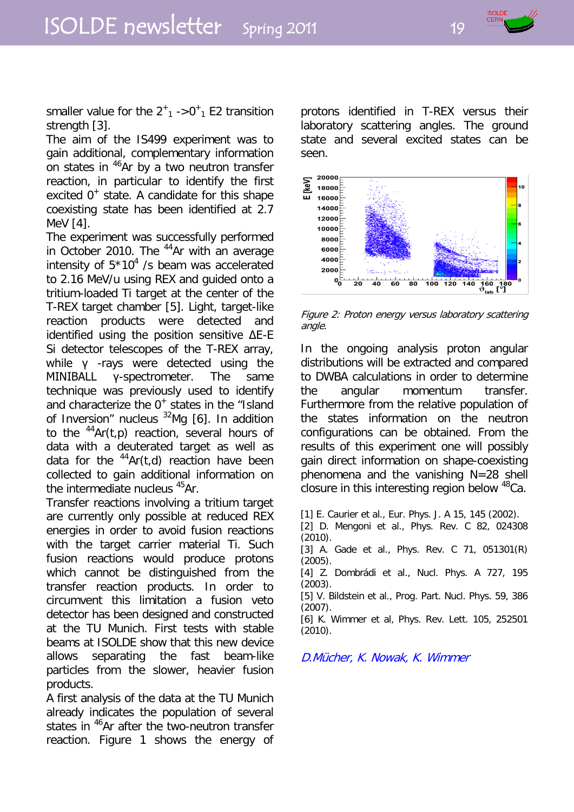

smaller value for the  $2^+$ <sub>1</sub>  $\div 0^+$ <sub>1</sub> E2 transition strength [3].

The aim of the IS499 experiment was to gain additional, complementary information on states in <sup>46</sup>Ar by a two neutron transfer reaction, in particular to identify the first excited  $0^+$  state. A candidate for this shape coexisting state has been identified at 2.7 MeV [4].

The experiment was successfully performed in October 2010. The  $44$ Ar with an average intensity of  $5*10<sup>4</sup>$  /s beam was accelerated to 2.16 MeV/u using REX and guided onto a tritium-loaded Ti target at the center of the T-REX target chamber [5]. Light, target-like reaction products were detected and identified using the position sensitive ΔE-E Si detector telescopes of the T-REX array, while γ -rays were detected using the MINIBALL γ-spectrometer. The same technique was previously used to identify and characterize the  $0^+$  states in the "Island of Inversion" nucleus  $32$ Mg [6]. In addition to the  $^{44}$ Ar(t,p) reaction, several hours of data with a deuterated target as well as data for the  $44Ar(t,d)$  reaction have been collected to gain additional information on the intermediate nucleus <sup>45</sup>Ar.

Transfer reactions involving a tritium target are currently only possible at reduced REX energies in order to avoid fusion reactions with the target carrier material Ti. Such fusion reactions would produce protons which cannot be distinguished from the transfer reaction products. In order to circumvent this limitation a fusion veto detector has been designed and constructed at the TU Munich. First tests with stable beams at ISOLDE show that this new device allows separating the fast beam-like particles from the slower, heavier fusion products.

A first analysis of the data at the TU Munich already indicates the population of several states in <sup>46</sup>Ar after the two-neutron transfer reaction. Figure 1 shows the energy of protons identified in T-REX versus their laboratory scattering angles. The ground state and several excited states can be seen.



Figure 2: Proton energy versus laboratory scattering angle.

In the ongoing analysis proton angular distributions will be extracted and compared to DWBA calculations in order to determine the angular momentum transfer. Furthermore from the relative population of the states information on the neutron configurations can be obtained. From the results of this experiment one will possibly gain direct information on shape-coexisting phenomena and the vanishing N=28 shell closure in this interesting region below <sup>48</sup>Ca.

- [1] E. Caurier et al., Eur. Phys. J. A 15, 145 (2002).
- [2] D. Mengoni et al., Phys. Rev. C 82, 024308 (2010).
- [3] A. Gade et al., Phys. Rev. C 71, 051301(R) (2005).
- [4] Z. Dombrádi et al., Nucl. Phys. A 727, 195 (2003).
- [5] V. Bildstein et al., Prog. Part. Nucl. Phys. 59, 386 (2007).
- [6] K. Wimmer et al, Phys. Rev. Lett. 105, 252501 (2010).

D.Mücher, K. Nowak, K. Wimmer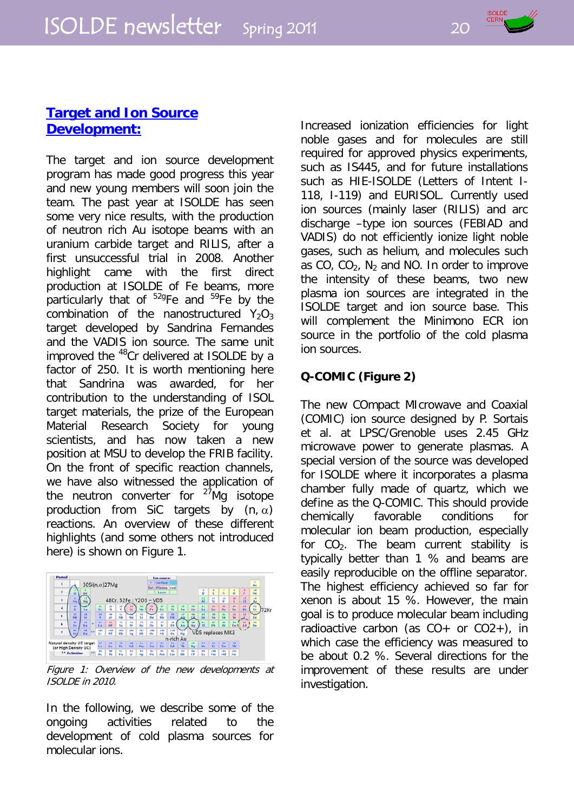

# **Target and Ion Source Development:**

The target and ion source development program has made good progress this year and new young members will soon join the team. The past year at ISOLDE has seen some very nice results, with the production of neutron rich Au isotope beams with an uranium carbide target and RILIS, after a first unsuccessful trial in 2008. Another highlight came with the first direct production at ISOLDE of Fe beams, more particularly that of  $529$ Fe and  $59$ Fe by the combination of the nanostructured  $Y_2O_3$ target developed by Sandrina Fernandes and the VADIS ion source. The same unit improved the <sup>48</sup>Cr delivered at ISOLDE by a factor of 250. It is worth mentioning here that Sandrina was awarded, for her contribution to the understanding of ISOL target materials, the prize of the European Material Research Society for young scientists, and has now taken a new position at MSU to develop the FRIB facility. On the front of specific reaction channels, we have also witnessed the application of the neutron converter for  $27\text{Mg}$  isotope production from SiC targets by  $(n, \alpha)$ reactions. An overview of these different highlights (and some others not introduced here) is shown on Figure 1.



Figure 1: Overview of the new developments at ISOLDE in 2010.

In the following, we describe some of the ongoing activities related to the development of cold plasma sources for molecular ions.

Increased ionization efficiencies for light noble gases and for molecules are still required for approved physics experiments, such as IS445, and for future installations such as HIE-ISOLDE (Letters of Intent I-118, I-119) and EURISOL. Currently used ion sources (mainly laser (RILIS) and arc discharge –type ion sources (FEBIAD and VADIS) do not efficiently ionize light noble gases, such as helium, and molecules such as  $CO$ ,  $CO<sub>2</sub>$ , N<sub>2</sub> and NO. In order to improve the intensity of these beams, two new plasma ion sources are integrated in the ISOLDE target and ion source base. This will complement the Minimono ECR ion source in the portfolio of the cold plasma ion sources.

# **Q-COMIC (Figure 2)**

The new COmpact MIcrowave and Coaxial (COMIC) ion source designed by P. Sortais et al. at LPSC/Grenoble uses 2.45 GHz microwave power to generate plasmas. A special version of the source was developed for ISOLDE where it incorporates a plasma chamber fully made of quartz, which we define as the Q-COMIC. This should provide chemically favorable conditions for molecular ion beam production, especially for  $CO<sub>2</sub>$ . The beam current stability is typically better than 1 % and beams are easily reproducible on the offline separator. The highest efficiency achieved so far for xenon is about 15 %. However, the main goal is to produce molecular beam including radioactive carbon (as  $CO+$  or  $CO2+$ ), in which case the efficiency was measured to be about 0.2 %. Several directions for the improvement of these results are under investigation.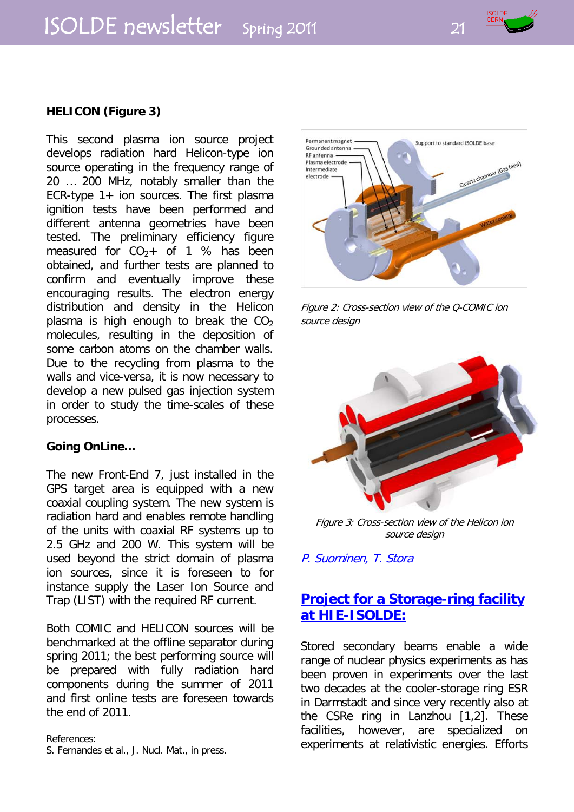# ISOLDE newsletter Spring 2011 21



#### **HELICON (Figure 3)**

This second plasma ion source project develops radiation hard Helicon-type ion source operating in the frequency range of 20 … 200 MHz, notably smaller than the ECR-type 1+ ion sources. The first plasma ignition tests have been performed and different antenna geometries have been tested. The preliminary efficiency figure measured for  $CO<sub>2</sub> +$  of 1 % has been obtained, and further tests are planned to confirm and eventually improve these encouraging results. The electron energy distribution and density in the Helicon plasma is high enough to break the  $CO<sub>2</sub>$ molecules, resulting in the deposition of some carbon atoms on the chamber walls. Due to the recycling from plasma to the walls and vice-versa, it is now necessary to develop a new pulsed gas injection system in order to study the time-scales of these processes.

#### **Going OnLine…**

The new Front-End 7, just installed in the GPS target area is equipped with a new coaxial coupling system. The new system is radiation hard and enables remote handling of the units with coaxial RF systems up to 2.5 GHz and 200 W. This system will be used beyond the strict domain of plasma ion sources, since it is foreseen to for instance supply the Laser Ion Source and Trap (LIST) with the required RF current.

Both COMIC and HELICON sources will be benchmarked at the offline separator during spring 2011; the best performing source will be prepared with fully radiation hard components during the summer of 2011 and first online tests are foreseen towards the end of 2011.

References:

S. Fernandes et al., J. Nucl. Mat., in press.



Figure 2: Cross-section view of the Q-COMIC ion source design



Figure 3: Cross-section view of the Helicon ion source design

P. Suominen, T. Stora

# **Project for a Storage-ring facility at HIE-ISOLDE:**

Stored secondary beams enable a wide range of nuclear physics experiments as has been proven in experiments over the last two decades at the cooler-storage ring ESR in Darmstadt and since very recently also at the CSRe ring in Lanzhou [1,2]. These facilities, however, are specialized on experiments at relativistic energies. Efforts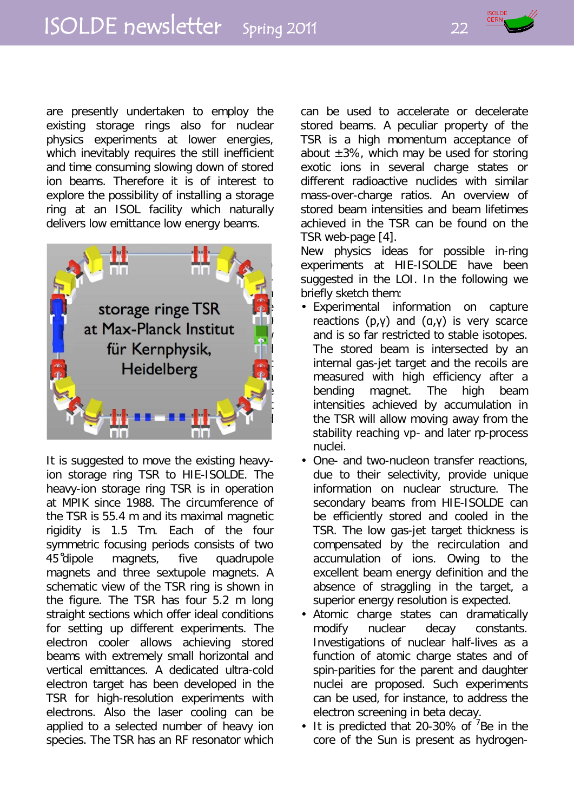are presently undertaken to employ the existing storage rings also for nuclear physics experiments at lower energies, which inevitably requires the still inefficient and time consuming slowing down of stored ion beams. Therefore it is of interest to explore the possibility of installing a storage ring at an ISOL facility which naturally delivers low emittance low energy beams.



It is suggested to move the existing heavyion storage ring TSR to HIE-ISOLDE. The heavy-ion storage ring TSR is in operation at MPIK since 1988. The circumference of the TSR is 55.4 m and its maximal magnetic rigidity is 1.5 Tm. Each of the four symmetric focusing periods consists of two 45 ̊dipole magnets, five quadrupole magnets and three sextupole magnets. A schematic view of the TSR ring is shown in the figure. The TSR has four 5.2 m long straight sections which offer ideal conditions for setting up different experiments. The electron cooler allows achieving stored beams with extremely small horizontal and vertical emittances. A dedicated ultra-cold electron target has been developed in the TSR for high-resolution experiments with electrons. Also the laser cooling can be applied to a selected number of heavy ion species. The TSR has an RF resonator which can be used to accelerate or decelerate stored beams. A peculiar property of the TSR is a high momentum acceptance of about  $\pm 3\%$ , which may be used for storing exotic ions in several charge states or different radioactive nuclides with similar mass-over-charge ratios. An overview of stored beam intensities and beam lifetimes achieved in the TSR can be found on the TSR web-page [4].

New physics ideas for possible in-ring experiments at HIE-ISOLDE have been suggested in the LOI. In the following we briefly sketch them:

- Experimental information on capture reactions  $(p, γ)$  and  $(a, γ)$  is very scarce and is so far restricted to stable isotopes. The stored beam is intersected by an internal gas-jet target and the recoils are measured with high efficiency after a bending magnet. The high beam intensities achieved by accumulation in the TSR will allow moving away from the stability reaching νp- and later rp-process nuclei.
- One- and two-nucleon transfer reactions, due to their selectivity, provide unique information on nuclear structure. The secondary beams from HIE-ISOLDE can be efficiently stored and cooled in the TSR. The low gas-jet target thickness is compensated by the recirculation and accumulation of ions. Owing to the excellent beam energy definition and the absence of straggling in the target, a superior energy resolution is expected.
- Atomic charge states can dramatically modify nuclear decay constants. Investigations of nuclear half-lives as a function of atomic charge states and of spin-parities for the parent and daughter nuclei are proposed. Such experiments can be used, for instance, to address the electron screening in beta decay.
- $\cdot$  It is predicted that 20-30% of  $78$ e in the core of the Sun is present as hydrogen-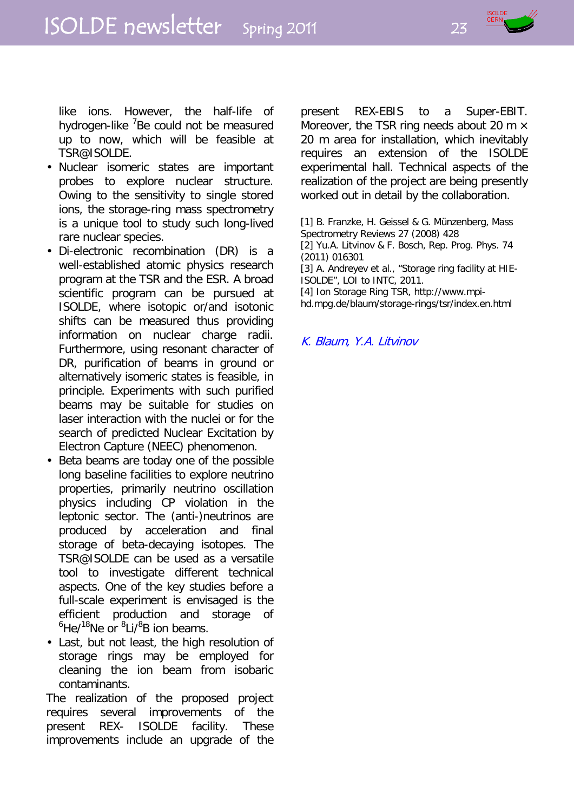

like ions. However, the half-life of hydrogen-like <sup>7</sup>Be could not be measured up to now, which will be feasible at TSR@ISOLDE.

- Nuclear isomeric states are important probes to explore nuclear structure. Owing to the sensitivity to single stored ions, the storage-ring mass spectrometry is a unique tool to study such long-lived rare nuclear species.
- Di-electronic recombination (DR) is a well-established atomic physics research program at the TSR and the ESR. A broad scientific program can be pursued at ISOLDE, where isotopic or/and isotonic shifts can be measured thus providing information on nuclear charge radii. Furthermore, using resonant character of DR, purification of beams in ground or alternatively isomeric states is feasible, in principle. Experiments with such purified beams may be suitable for studies on laser interaction with the nuclei or for the search of predicted Nuclear Excitation by Electron Capture (NEEC) phenomenon.
- Beta beams are today one of the possible long baseline facilities to explore neutrino properties, primarily neutrino oscillation physics including CP violation in the leptonic sector. The (anti-)neutrinos are produced by acceleration and final storage of beta-decaying isotopes. The TSR@ISOLDE can be used as a versatile tool to investigate different technical aspects. One of the key studies before a full-scale experiment is envisaged is the efficient production and storage of <sup>6</sup>He/<sup>18</sup>Ne or <sup>8</sup>Li/<sup>8</sup>B ion beams.
- Last, but not least, the high resolution of storage rings may be employed for cleaning the ion beam from isobaric contaminants.

The realization of the proposed project requires several improvements of the present REX- ISOLDE facility. These improvements include an upgrade of the present REX-EBIS to a Super-EBIT. Moreover, the TSR ring needs about 20 m  $\times$ 20 m area for installation, which inevitably requires an extension of the ISOLDE experimental hall. Technical aspects of the realization of the project are being presently worked out in detail by the collaboration.

[1] B. Franzke, H. Geissel & G. Münzenberg, Mass Spectrometry Reviews 27 (2008) 428 [2] Yu.A. Litvinov & F. Bosch, Rep. Prog. Phys. 74 (2011) 016301 [3] A. Andreyev et al., "Storage ring facility at HIE-ISOLDE", LOI to INTC, 2011. [4] Ion Storage Ring TSR, http://www.mpihd.mpg.de/blaum/storage-rings/tsr/index.en.html

K. Blaum, Y.A. Litvinov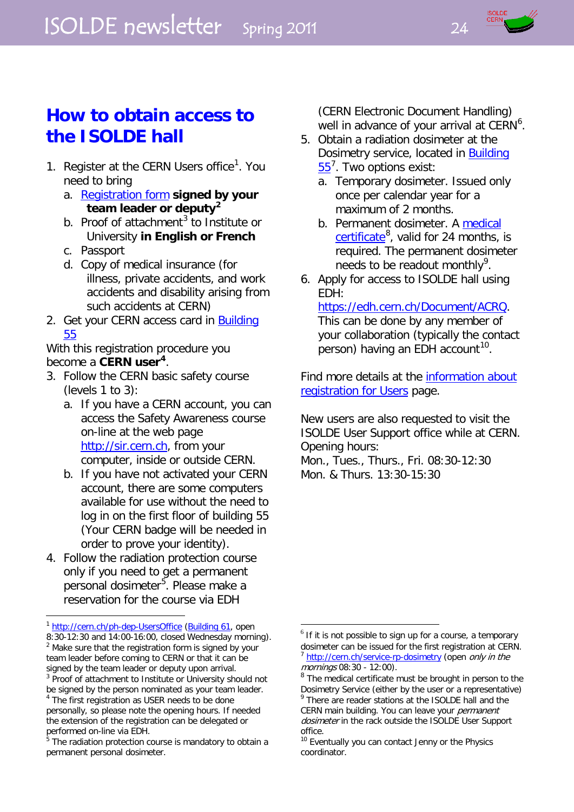

# **How to obtain access to the ISOLDE hall**

- [1](#page-23-0). Register at the CERN Users office<sup>1</sup>. You need to bring
	- a. [Registration form](http://ph-dep-usersoffice.web.cern.ch/ph-dep-UsersOffice/CheckIn/RformE.pdf) signed by your **team leader or deputy[2](#page-23-1)**
	- b. Proof of attachment<sup>[3](#page-23-2)</sup> to Institute or University **in English or French**
	- c. Passport
	- d. Copy of medical insurance (for illness, private accidents, and work accidents and disability arising from such accidents at CERN)
- 2. Get your CERN access card in **Building** [55](http://building.web.cern.ch/map/building?bno=55)

With this registration procedure you become a **CERN user[4](#page-23-3)** .

- 3. Follow the CERN basic safety course (levels 1 to 3):
	- a. If you have a CERN account, you can access the Safety Awareness course on-line at the web page [http://sir.cern.ch,](http://sir.cern.ch/) from your computer, inside or outside CERN.
	- b. If you have not activated your CERN account, there are some computers available for use without the need to log in on the first floor of building 55 (Your CERN badge will be needed in order to prove your identity).
- 4. Follow the radiation protection course only if you need to get a permanent personal dosimeter<sup>[5](#page-23-4)</sup>. Please make a reservation for the course via EDH

(CERN Electronic Document Handling) well in advance of your arrival at  $CERN<sup>6</sup>$  $CERN<sup>6</sup>$  $CERN<sup>6</sup>$ .

- 5. Obtain a radiation dosimeter at the Dosimetry service, located in **Building** [55](http://building.web.cern.ch/map/building?bno=55)<sup>[7](#page-23-6)</sup>. Two options exist:
	- a. Temporary dosimeter. Issued only once per calendar year for a maximum of 2 months.
	- b. Permanent dosimeter. A [medical](https://edms.cern.ch/file/874935/1.01/CMU_dosimetrie_2007_ENG.pdf)  [certificate](https://edms.cern.ch/file/874935/1.01/CMU_dosimetrie_2007_ENG.pdf)<sup>[8](#page-23-7)</sup>, valid for 24 months, is required. The permanent dosimeter needs to be readout monthly<sup>[9](#page-23-3)</sup>.
- 6. Apply for access to ISOLDE hall using EDH:

[https://edh.cern.ch/Document/ACRQ.](https://edh.cern.ch/Document/ACRQ) This can be done by any member of your collaboration (typically the contact person) having an EDH account<sup>10</sup>.

Find more details at the [information about](http://ph-dep-usersoffice.web.cern.ch/ph-dep-UsersOffice/CheckIn/Check-InProcedure.html)  [registration for Users](http://ph-dep-usersoffice.web.cern.ch/ph-dep-UsersOffice/CheckIn/Check-InProcedure.html) page.

New users are also requested to visit the ISOLDE User Support office while at CERN. Opening hours:

Mon., Tues., Thurs., Fri. 08:30-12:30 Mon. & Thurs. 13:30-15:30

 $\overline{a}$ <sup>1</sup> <http://cern.ch/ph-dep-UsersOffice> [\(Building 61,](http://building.web.cern.ch/map/building?bno=61) open

<span id="page-23-6"></span><span id="page-23-5"></span><span id="page-23-1"></span><span id="page-23-0"></span><sup>8:30-12:30</sup> and 14:00-16:00, closed Wednesday morning). <sup>2</sup> Make sure that the registration form is signed by your team leader before coming to CERN or that it can be signed by the team leader or deputy upon arrival.

<span id="page-23-7"></span><span id="page-23-2"></span><sup>&</sup>lt;sup>3</sup> Proof of attachment to Institute or University should not be signed by the person nominated as your team leader. <sup>4</sup> The first registration as USER needs to be done

<span id="page-23-3"></span>personally, so please note the opening hours. If needed the extension of the registration can be delegated or performed on-line via EDH.

<span id="page-23-4"></span>The radiation protection course is mandatory to obtain a permanent personal dosimeter.

 $6$  If it is not possible to sign up for a course, a temporary dosimeter can be issued for the first registration at CERN. <sup>7</sup> <http://cern.ch/service-rp-dosimetry> (open only in the mornings 08:30 - 12:00).

<sup>&</sup>lt;sup>8</sup> The medical certificate must be brought in person to the Dosimetry Service (either by the user or a representative)

There are reader stations at the ISOLDE hall and the CERN main building. You can leave your *permanent* dosimeter in the rack outside the ISOLDE User Support office.

<sup>&</sup>lt;sup>10</sup> Eventually you can contact Jenny or the Physics coordinator.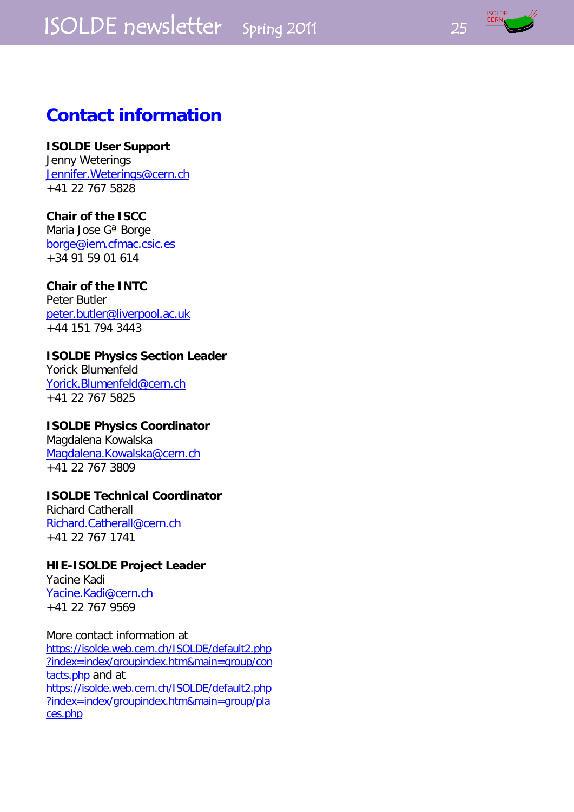# ISOLDE newsletter Spring 2011 25



# **Contact information**

# **ISOLDE User Support**

Jenny Weterings [Jennifer.Weterings@cern.ch](mailto:isolde.secretariat@cern.ch) +41 22 767 5828

## **Chair of the ISCC**

Maria Jose Gª Borge [borge@iem.cfmac.csic.es](mailto:borge@iem.cfmac.csic.es) +34 91 59 01 614

# **Chair of the INTC**

Peter Butler [peter.butler@liverpool.ac.uk](mailto:peter.butler@liverpool.ac.uk) +44 151 794 3443

## **ISOLDE Physics Section Leader**

Yorick Blumenfeld [Yorick.Blumenfeld@cern.ch](mailto:Yorick.Blumenfeld@cern.ch) +41 22 767 5825

#### **ISOLDE Physics Coordinator**

Magdalena Kowalska [Magdalena.Kowalska@cern.ch](mailto:Magdalena.Kowalska@cern.ch) +41 22 767 3809

# **ISOLDE Technical Coordinator**

Richard Catherall [Richard.Catherall@cern.ch](mailto:Richard.Catherall@cern.ch) +41 22 767 1741

# **HIE-ISOLDE Project Leader**

Yacine Kadi [Yacine.Kadi@cern.ch](mailto:Yacine.Kadi@cern.ch) +41 22 767 9569

More contact information at [https://isolde.web.cern.ch/ISOLDE/default2.php](https://isolde.web.cern.ch/ISOLDE/default2.php?index=index/groupindex.htm&main=group/contacts.php) [?index=index/groupindex.htm&main=group/con](https://isolde.web.cern.ch/ISOLDE/default2.php?index=index/groupindex.htm&main=group/contacts.php) [tacts.php](https://isolde.web.cern.ch/ISOLDE/default2.php?index=index/groupindex.htm&main=group/contacts.php) and at [https://isolde.web.cern.ch/ISOLDE/default2.php](https://isolde.web.cern.ch/ISOLDE/default2.php?index=index/groupindex.htm&main=group/places.php) [?index=index/groupindex.htm&main=group/pla](https://isolde.web.cern.ch/ISOLDE/default2.php?index=index/groupindex.htm&main=group/places.php) [ces.php](https://isolde.web.cern.ch/ISOLDE/default2.php?index=index/groupindex.htm&main=group/places.php)